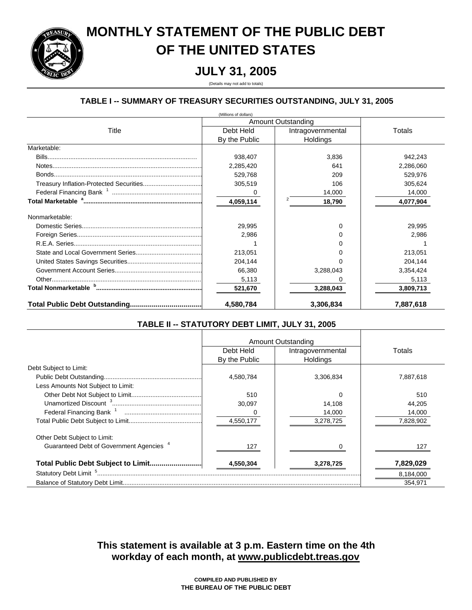

# **MONTHLY STATEMENT OF THE PUBLIC DEBT OF THE UNITED STATES**

# **JULY 31, 2005**

(Details may not add to totals)

# **TABLE I -- SUMMARY OF TREASURY SECURITIES OUTSTANDING, JULY 31, 2005**

| (Millions of dollars) |                    |                   |           |  |  |  |  |
|-----------------------|--------------------|-------------------|-----------|--|--|--|--|
|                       | Amount Outstanding |                   |           |  |  |  |  |
| Title                 | Debt Held          | Intragovernmental | Totals    |  |  |  |  |
|                       | By the Public      | Holdings          |           |  |  |  |  |
| Marketable:           |                    |                   |           |  |  |  |  |
|                       | 938,407            | 3,836             | 942,243   |  |  |  |  |
|                       | 2,285,420          | 641               | 2,286,060 |  |  |  |  |
|                       | 529,768            | 209               | 529,976   |  |  |  |  |
|                       | 305,519            | 106               | 305,624   |  |  |  |  |
|                       |                    | 14,000            | 14,000    |  |  |  |  |
|                       | 4,059,114          | 18,790            | 4,077,904 |  |  |  |  |
| Nonmarketable:        |                    |                   |           |  |  |  |  |
|                       | 29,995             | U                 | 29.995    |  |  |  |  |
|                       | 2,986              |                   | 2,986     |  |  |  |  |
|                       |                    |                   |           |  |  |  |  |
|                       | 213,051            |                   | 213,051   |  |  |  |  |
|                       | 204,144            |                   | 204,144   |  |  |  |  |
|                       | 66,380             | 3,288,043         | 3,354,424 |  |  |  |  |
|                       | 5,113              |                   | 5,113     |  |  |  |  |
|                       | 521,670            | 3,288,043         | 3,809,713 |  |  |  |  |
|                       | 4,580,784          | 3,306,834         | 7,887,618 |  |  |  |  |

## **TABLE II -- STATUTORY DEBT LIMIT, JULY 31, 2005**

|                                                     |               | Amount Outstanding |           |
|-----------------------------------------------------|---------------|--------------------|-----------|
|                                                     | Debt Held     | Intragovernmental  | Totals    |
|                                                     | By the Public | Holdings           |           |
| Debt Subject to Limit:                              |               |                    |           |
|                                                     | 4,580,784     | 3,306,834          | 7,887,618 |
| Less Amounts Not Subject to Limit:                  |               |                    |           |
|                                                     | 510           |                    | 510       |
|                                                     | 30.097        | 14.108             | 44,205    |
|                                                     |               | 14,000             | 14,000    |
|                                                     | 4,550,177     | 3,278,725          | 7,828,902 |
| Other Debt Subject to Limit:                        |               |                    |           |
| Guaranteed Debt of Government Agencies <sup>4</sup> | 127           |                    | 127       |
|                                                     | 4,550,304     | 3,278,725          | 7,829,029 |
|                                                     |               |                    | 8,184,000 |
|                                                     |               |                    | 354.971   |

**workday of each month, at www.publicdebt.treas.gov This statement is available at 3 p.m. Eastern time on the 4th**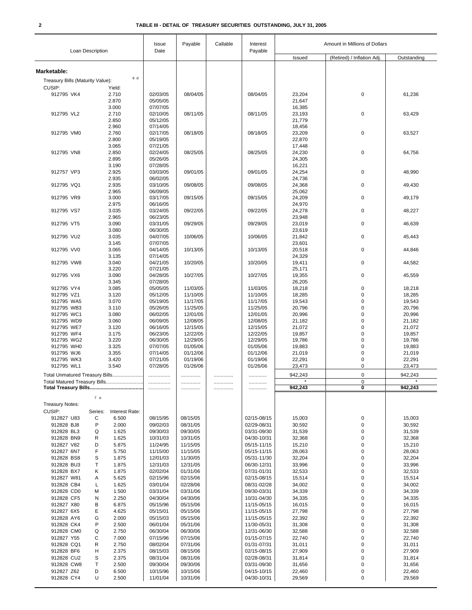|                                            | Loan Description                                               | Issue<br>Date        | Payable              | Callable | Interest<br>Payable        | Amount in Millions of Dollars |                            |                    |
|--------------------------------------------|----------------------------------------------------------------|----------------------|----------------------|----------|----------------------------|-------------------------------|----------------------------|--------------------|
|                                            |                                                                |                      |                      |          |                            | Issued                        | (Retired) / Inflation Adj. | Outstanding        |
|                                            |                                                                |                      |                      |          |                            |                               |                            |                    |
| Marketable:                                | 6 d                                                            |                      |                      |          |                            |                               |                            |                    |
| Treasury Bills (Maturity Value):<br>CUSIP: | Yield:                                                         |                      |                      |          |                            |                               |                            |                    |
| 912795 VK4                                 | 2.710                                                          | 02/03/05             | 08/04/05             |          | 08/04/05                   | 23,204                        | 0                          | 61,236             |
|                                            | 2.870                                                          | 05/05/05             |                      |          |                            | 21,647                        |                            |                    |
|                                            | 3.000                                                          | 07/07/05             |                      |          |                            | 16,385                        |                            |                    |
| 912795 VL2                                 | 2.710<br>2.850                                                 | 02/10/05<br>05/12/05 | 08/11/05             |          | 08/11/05                   | 23,193<br>21,779              | 0                          | 63,429             |
|                                            | 2.960                                                          | 07/14/05             |                      |          |                            | 18,456                        |                            |                    |
| 912795 VM0                                 | 2.760                                                          | 02/17/05             | 08/18/05             |          | 08/18/05                   | 23,209                        | 0                          | 63,527             |
|                                            | 2.800                                                          | 05/19/05             |                      |          |                            | 22,870                        |                            |                    |
| 912795 VN8                                 | 3.065                                                          | 07/21/05             |                      |          | 08/25/05                   | 17,448                        | 0                          |                    |
|                                            | 2.850<br>2.895                                                 | 02/24/05<br>05/26/05 | 08/25/05             |          |                            | 24,230<br>24,305              |                            | 64,756             |
|                                            | 3.190                                                          | 07/28/05             |                      |          |                            | 16,221                        |                            |                    |
| 912757 VP3                                 | 2.925                                                          | 03/03/05             | 09/01/05             |          | 09/01/05                   | 24,254                        | 0                          | 48,990             |
|                                            | 2.935                                                          | 06/02/05             |                      |          |                            | 24,736                        |                            |                    |
| 912795 VQ1                                 | 2.935<br>2.965                                                 | 03/10/05<br>06/09/05 | 09/08/05             |          | 09/08/05                   | 24,368<br>25,062              | 0                          | 49,430             |
| 912795 VR9                                 | 3.000                                                          | 03/17/05             | 09/15/05             |          | 09/15/05                   | 24,209                        | 0                          | 49,179             |
|                                            | 2.975                                                          | 06/16/05             |                      |          |                            | 24,970                        |                            |                    |
| 912795 VS7                                 | 3.035                                                          | 03/24/05             | 09/22/05             |          | 09/22/05                   | 24,278                        | 0                          | 48,227             |
| 912795 VT5                                 | 2.965                                                          | 06/23/05             |                      |          |                            | 23,948                        |                            |                    |
|                                            | 3.090<br>3.080                                                 | 03/31/05<br>06/30/05 | 09/29/05             |          | 09/29/05                   | 23,019<br>23,619              | 0                          | 46,639             |
| 912795 VU2                                 | 3.035                                                          | 04/07/05             | 10/06/05             |          | 10/06/05                   | 21,842                        | 0                          | 45,443             |
|                                            | 3.145                                                          | 07/07/05             |                      |          |                            | 23,601                        |                            |                    |
| 912795 VV0                                 | 3.065                                                          | 04/14/05             | 10/13/05             |          | 10/13/05                   | 20,518                        | 0                          | 44,846             |
| 912795 VW8                                 | 3.135<br>3.040                                                 | 07/14/05<br>04/21/05 | 10/20/05             |          | 10/20/05                   | 24,329<br>19,411              | 0                          | 44,582             |
|                                            | 3.220                                                          | 07/21/05             |                      |          |                            | 25,171                        |                            |                    |
| 912795 VX6                                 | 3.090                                                          | 04/28/05             | 10/27/05             |          | 10/27/05                   | 19,355                        | 0                          | 45,559             |
|                                            | 3.345                                                          | 07/28/05             |                      |          |                            | 26,205                        |                            |                    |
| 912795 VY4                                 | 3.085                                                          | 05/05/05             | 11/03/05             |          | 11/03/05                   | 18,218                        | 0<br>0                     | 18,218             |
| 912795 VZ1<br>912795 WA5                   | 3.120<br>3.070                                                 | 05/12/05<br>05/19/05 | 11/10/05<br>11/17/05 |          | 11/10/05<br>11/17/05       | 18,285<br>19,543              | 0                          | 18,285<br>19,543   |
| 912795 WB3                                 | 3.110                                                          | 05/26/05             | 11/25/05             |          | 11/25/05                   | 20,796                        | 0                          | 20,796             |
| 912795 WC1                                 | 3.080                                                          | 06/02/05             | 12/01/05             |          | 12/01/05                   | 20,996                        | 0                          | 20,996             |
| 912795 WD9                                 | 3.060                                                          | 06/09/05             | 12/08/05             |          | 12/08/05                   | 21,182                        | 0                          | 21,182             |
| 912795 WE7<br>912795 WF4                   | 3.120<br>3.175                                                 | 06/16/05<br>06/23/05 | 12/15/05<br>12/22/05 |          | 12/15/05<br>12/22/05       | 21,072                        | 0<br>0                     | 21,072<br>19,857   |
| 912795 WG2                                 | 3.220                                                          | 06/30/05             | 12/29/05             |          | 12/29/05                   | 19,857<br>19,786              | 0                          | 19,786             |
| 912795 WH0                                 | 3.325                                                          | 07/07/05             | 01/05/06             |          | 01/05/06                   | 19,883                        | 0                          | 19,883             |
| 912795 WJ6                                 | 3.355                                                          | 07/14/05             | 01/12/06             |          | 01/12/06                   | 21,019                        | 0                          | 21,019             |
| 912795 WK3<br>912795 WL1                   | 3.420                                                          | 07/21/05             | 01/19/06             |          | 01/19/06                   | 22,291                        | 0<br>0                     | 22,291             |
|                                            | 3.540                                                          | 07/28/05             | 01/26/06             |          | 01/26/06                   | 23,473                        |                            | 23,473             |
|                                            | Total Unmatured Treasury Bills<br>Total Matured Treasury Bills | .                    |                      | .        |                            | 942,243<br>$\star$            | $\mathbf 0$<br>0           | 942,243<br>$\star$ |
|                                            |                                                                | .                    | .                    |          |                            | 942,243                       | 0                          | 942,243            |
|                                            | 7 e                                                            |                      |                      |          |                            |                               |                            |                    |
| <b>Treasury Notes:</b>                     |                                                                |                      |                      |          |                            |                               |                            |                    |
| CUSIP:                                     | Series:<br>Interest Rate:                                      |                      |                      |          |                            |                               |                            |                    |
| 912827 U83                                 | С<br>6.500                                                     | 08/15/95             | 08/15/05             |          | 02/15-08/15                | 15,003                        | 0                          | 15,003             |
| 912828 BJ8<br>912828 BL3                   | P<br>2.000<br>1.625<br>Q                                       | 09/02/03<br>09/30/03 | 08/31/05<br>09/30/05 |          | 02/29-08/31<br>03/31-09/30 | 30,592<br>31,539              | 0<br>0                     | 30,592<br>31,539   |
| 912828 BN9                                 | 1.625<br>R                                                     | 10/31/03             | 10/31/05             |          | 04/30-10/31                | 32,368                        | 0                          | 32,368             |
| 912827 V82                                 | 5.875<br>D                                                     | 11/24/95             | 11/15/05             |          | 05/15-11/15                | 15,210                        | 0                          | 15,210             |
| 912827 6N7                                 | F<br>5.750                                                     | 11/15/00             | 11/15/05             |          | 05/15-11/15                | 28,063                        | 0                          | 28,063             |
| 912828 BS8                                 | S<br>1.875                                                     | 12/01/03             | 11/30/05             |          | 05/31-11/30<br>06/30-12/31 | 32,204                        | 0                          | 32,204             |
| 912828 BU3<br>912828 BX7                   | Т<br>1.875<br>Κ<br>1.875                                       | 12/31/03<br>02/02/04 | 12/31/05<br>01/31/06 |          | 07/31-01/31                | 33,996<br>32,533              | 0<br>0                     | 33,996<br>32,533   |
| 912827 W81                                 | 5.625<br>Α                                                     | 02/15/96             | 02/15/06             |          | 02/15-08/15                | 15,514                        | 0                          | 15,514             |
| 912828 CB4                                 | 1.625<br>L                                                     | 03/01/04             | 02/28/06             |          | 08/31-02/28                | 34,002                        | 0                          | 34,002             |
| 912828 CD0                                 | 1.500<br>М                                                     | 03/31/04             | 03/31/06             |          | 09/30-03/31                | 34,339                        | 0                          | 34,339             |
| 912828 CF5                                 | 2.250<br>N                                                     | 04/30/04             | 04/30/06             |          | 10/31-04/30                | 34,335                        | 0                          | 34,335             |
| 912827 X80<br>912827 6X5                   | В<br>6.875<br>Е<br>4.625                                       | 05/15/96<br>05/15/01 | 05/15/06<br>05/15/06 |          | 11/15-05/15<br>11/15-05/15 | 16,015<br>27,798              | 0<br>0                     | 16,015<br>27,798   |
| 912828 AY6                                 | 2.000<br>G                                                     | 05/15/03             | 05/15/06             |          | 11/15-05/15                | 22,392                        | 0                          | 22,392             |
| 912828 CK4                                 | P<br>2.500                                                     | 06/01/04             | 05/31/06             |          | 11/30-05/31                | 31,308                        | 0                          | 31,308             |
| 912828 CM0                                 | 2.750<br>Q                                                     | 06/30/04             | 06/30/06             |          | 12/31-06/30                | 32,588                        | 0                          | 32,588             |
| 912827 Y55                                 | 7.000<br>С                                                     | 07/15/96             | 07/15/06             |          | 01/15-07/15                | 22,740                        | 0                          | 22,740             |
| 912828 CQ1                                 | 2.750<br>R                                                     | 08/02/04             | 07/31/06             |          | 01/31-07/31                | 31,011                        | 0<br>0                     | 31,011             |
| 912828 BF6<br>912828 CU2                   | н<br>2.375<br>S<br>2.375                                       | 08/15/03<br>08/31/04 | 08/15/06<br>08/31/06 |          | 02/15-08/15<br>02/28-08/31 | 27,909<br>31,814              | 0                          | 27,909<br>31,814   |
| 912828 CW8                                 | 2.500<br>Т                                                     | 09/30/04             | 09/30/06             |          | 03/31-09/30                | 31,656                        | 0                          | 31,656             |
| 912827 Z62                                 | D<br>6.500                                                     | 10/15/96             | 10/15/06             |          | 04/15-10/15                | 22,460                        | 0                          | 22,460             |
| 912828 CY4                                 | U<br>2.500                                                     | 11/01/04             | 10/31/06             |          | 04/30-10/31                | 29,569                        | 0                          | 29,569             |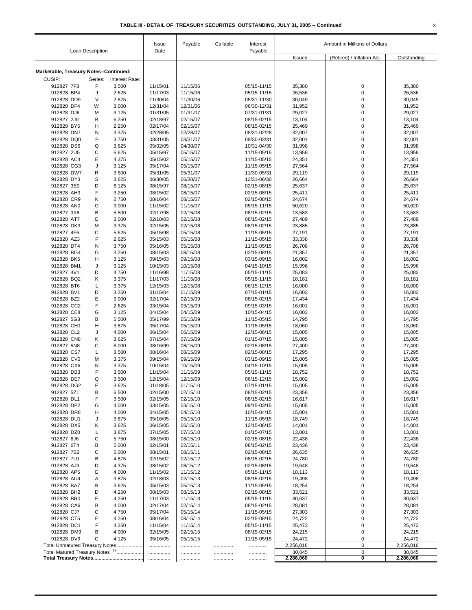|                                            |                | Issue                | Payable              | Callable | Interest                   | Amount in Millions of Dollars |                            |                     |
|--------------------------------------------|----------------|----------------------|----------------------|----------|----------------------------|-------------------------------|----------------------------|---------------------|
| Loan Description                           |                | Date                 |                      |          | Payable                    | Issued                        | (Retired) / Inflation Adj. | Outstanding         |
| Marketable, Treasury Notes--Continued:     |                |                      |                      |          |                            |                               |                            |                     |
| CUSIP:<br>Series:                          | Interest Rate: |                      |                      |          |                            |                               |                            |                     |
| $\mathsf F$<br>912827 7F3                  | 3.500          | 11/15/01             | 11/15/06             |          | 05/15-11/15                | 35,380                        | $\mathbf 0$                | 35,380              |
| 912828 BP4<br>J                            | 2.625          | 11/17/03             | 11/15/06             |          | 05/15-11/15                | 26,536                        | 0                          | 26,536              |
| 912828 DD9<br>$\vee$                       | 2.875          | 11/30/04             | 11/30/06             |          | 05/31-11/30                | 30,049                        | $\pmb{0}$                  | 30,049              |
| 912828 DF4<br>W                            | 3.000          | 12/31/04             | 12/31/06             |          | 06/30-12/31                | 31,952                        | $\pmb{0}$                  | 31,952              |
| 912828 DJ6<br>M                            | 3.125          | 01/31/05             | 01/31/07             |          | 07/31-01/31                | 29,027                        | $\mathbf 0$                | 29,027              |
| 912827 2J0<br>B                            | 6.250          | 02/18/97             | 02/15/07             |          | 08/15-02/15                | 13,104                        | $\mathbf 0$                | 13,104              |
| 912828 BY5<br>H                            | 2.250          | 02/17/04             | 02/15/07             |          | 08/15-02/15                | 25,469                        | $\mathbf 0$                | 25,469              |
| 912828 DN7<br>N                            | 3.375          | 02/28/05             | 02/28/07             |          | 08/31-02/28                | 32,007                        | $\mathbf 0$                | 32,007              |
| 912828 DQ0<br>P                            | 3.750          | 03/31/05             | 03/31/07             |          | 09/30-03/31                | 32,001                        | $\mathbf 0$                | 32,001              |
| 912828 DS6<br>Q                            | 3.625          | 05/02/05             | 04/30/07             |          | 10/31-04/30                | 31,998                        | $\pmb{0}$                  | 31,998              |
| 912827 2U5<br>С                            | 6.625          | 05/15/97             | 05/15/07             |          | 11/15-05/15                | 13,958                        | $\pmb{0}$                  | 13,958              |
| 912828 AC4<br>Ε                            | 4.375          | 05/15/02             | 05/15/07             |          | 11/15-05/15                | 24,351                        | $\mathbf 0$                | 24,351              |
| 912828 CG3<br>J                            | 3.125          | 05/17/04             | 05/15/07             |          | 11/15-05/15                | 27,564                        | $\pmb{0}$                  | 27,564              |
| 912828 DW7<br>$\mathsf{R}$                 | 3.500          | 05/31/05             | 05/31/07             |          | 11/30-05/31                | 29,119                        | $\mathbf 0$                | 29,119              |
| 912828 DY3<br>S                            | 3.625          | 06/30/05             | 06/30/07             |          | 12/31-06/30                | 26,664                        | $\mathbf 0$                | 26,664              |
| D<br>912827 3E0                            | 6.125          | 08/15/97             | 08/15/07             |          | 02/15-08/15                | 25,637                        | $\mathbf 0$                | 25,637              |
| F<br>912828 AH3                            | 3.250          | 08/15/02             | 08/15/07             |          | 02/15-08/15                | 25,411                        | $\mathbf 0$                | 25,411              |
| 912828 CR9<br>Κ                            | 2.750          | 08/16/04             | 08/15/07             |          | 02/15-08/15                | 24,674                        | $\pmb{0}$                  | 24,674              |
| 912828 ANO<br>G                            | 3.000          | 11/15/02             | 11/15/07             |          | 05/15-11/15                | 50,620                        | $\mathbf 0$                | 50,620              |
| 912827 3X8<br>B                            | 5.500          | 02/17/98             | 02/15/08             |          | 08/15-02/15                | 13,583                        | $\pmb{0}$                  | 13,583              |
| 912828 AT7<br>Ε                            | 3.000          | 02/18/03             | 02/15/08             |          | 08/15-02/15                | 27,489                        | $\mathbf 0$                | 27,489              |
| 912828 DK3<br>M                            | 3.375          | 02/15/05             | 02/15/08             |          | 08/15-02/15                | 23,885                        | $\mathbf 0$                | 23,885              |
| 912827 4F6<br>C                            | 5.625          | 05/15/98             | 05/15/08             |          | 11/15-05/15                | 27,191                        | $\mathbf 0$                | 27,191              |
| F<br>912828 AZ3                            | 2.625          | 05/15/03             | 05/15/08             |          | 11/15-05/15                | 33,338                        | $\mathbf 0$                | 33,338              |
| 912828 DT4<br>N                            | 3.750          | 05/16/05             | 05/15/08             |          | 11/15-05/15                | 26,708                        | $\pmb{0}$                  | 26,708              |
| 912828 BG4<br>G                            | 3.250          | 08/15/03             | 08/15/08             |          | 02/15-08/15                | 21,357                        | $\mathbf 0$                | 21,357              |
| 912828 BK5<br>H                            | 3.125          | 09/15/03             | 09/15/08             |          | 03/15-09/15                | 16,002                        | $\pmb{0}$                  | 16,002              |
| 912828 BM1<br>J                            | 3.125          | 10/15/03             | 10/15/08             |          | 04/15-10/15                | 15,996                        | $\pmb{0}$                  | 15,996              |
| 912827 4V1<br>D                            | 4.750          | 11/16/98             | 11/15/08             |          | 05/15-11/15                | 25,083                        | $\pmb{0}$                  | 25,083              |
| 912828 BQ2<br>Κ                            | 3.375          | 11/17/03             | 11/15/08             |          | 05/15-11/15                | 18,181                        | $\mathbf 0$                | 18,181              |
| 912828 BT6<br>L                            | 3.375          | 12/15/03             | 12/15/08             |          | 06/15-12/15                | 16,000                        | $\pmb{0}$                  | 16,000              |
| 912828 BV1<br>D                            | 3.250          | 01/15/04             | 01/15/09             |          | 07/15-01/15                | 16,003                        | $\mathbf 0$                | 16,003              |
| 912828 BZ2<br>Ε<br>F                       | 3.000          | 02/17/04             | 02/15/09             |          | 08/15-02/15                | 17,434                        | $\mathbf 0$                | 17,434              |
| 912828 CC2<br>G                            | 2.625<br>3.125 | 03/15/04             | 03/15/09             |          | 09/15-03/15                | 16,001                        | $\pmb{0}$<br>$\pmb{0}$     | 16,001              |
| 912828 CE8<br>912827 5G3<br>B              | 5.500          | 04/15/04<br>05/17/99 | 04/15/09<br>05/15/09 |          | 10/15-04/15<br>11/15-05/15 | 16,003<br>14,795              | $\pmb{0}$                  | 16,003<br>14,795    |
| 912828 CH1<br>H                            | 3.875          | 05/17/04             | 05/15/09             |          | 11/15-05/15                | 18,060                        | $\mathbf 0$                | 18,060              |
| 912828 CL2<br>J                            | 4.000          | 06/15/04             | 06/15/09             |          | 12/15-06/15                | 15,005                        | $\pmb{0}$                  | 15,005              |
| 912828 CN8<br>Κ                            | 3.625          | 07/15/04             | 07/15/09             |          | 01/15-07/15                | 15,005                        | $\pmb{0}$                  | 15,005              |
| 912827 5N8<br>C                            | 6.000          | 08/16/99             | 08/15/09             |          | 02/15-08/15                | 27,400                        | $\mathbf 0$                | 27,400              |
| 912828 CS7<br>Г                            | 3.500          | 08/16/04             | 08/15/09             |          | 02/15-08/15                | 17,295                        | $\mathbf 0$                | 17,295              |
| 912828 CV0<br>M                            | 3.375          | 09/15/04             | 09/15/09             |          | 03/15-09/15                | 15,005                        | $\pmb{0}$                  | 15,005              |
| 912828 CX6<br>N                            | 3.375          | 10/15/04             | 10/15/09             |          | 04/15-10/15                | 15,005                        | $\pmb{0}$                  | 15,005              |
| 912828 DB3<br>P                            | 3.500          | 11/15/04             | 11/15/09             |          | 05/15-11/15                | 18,752                        | 0                          | 18,752              |
| Q<br>912828 DE7                            | 3.500          | 12/15/04             | 12/15/09             |          | 06/15-12/15                | 15,002                        | $\mathbf 0$                | 15,002              |
| 912828 DG2<br>E                            | 3.625          | 01/18/05             | 01/15/10             |          | 07/15-01/15                | 15,005                        | $\pmb{0}$                  | 15,005              |
| 912827 5Z1<br>B                            | 6.500          | 02/15/00             | 02/15/10             |          | 08/15-02/15                | 23,356                        | 0                          | 23,356              |
| 912828 DL1<br>F                            | 3.500          | 02/15/05             | 02/15/10             |          | 08/15-02/15                | 16,617                        | 0                          | 16,617              |
| 912828 DP2<br>G                            | 4.000          | 03/15/05             | 03/15/10             |          | 09/15-03/15                | 15,005                        | 0                          | 15,005              |
| 912828 DR8<br>Н                            | 4.000          | 04/15/05             | 04/15/10             |          | 10/15-04/15                | 15,001                        | $\pmb{0}$                  | 15,001              |
| 912828 DU1<br>J                            | 3.875          | 05/16/05             | 05/15/10             |          | 11/15-05/15                | 18,749                        | 0                          | 18,749              |
| 912828 DX5<br>Κ                            | 3.625          | 06/15/05             | 06/15/10             |          | 12/15-06/15                | 14,001                        | 0                          | 14,001              |
| 912828 DZ0<br>Г                            | 3.875          | 07/15/05             | 07/15/10             |          | 01/15-07/15                | 13,001                        | 0                          | 13,001              |
| 912827 6J6<br>С                            | 5.750          | 08/15/00             | 08/15/10             |          | 02/15-08/15                | 22,438                        | $\mathbf 0$                | 22,438              |
| 912827 6T4<br>B                            | 5.000          | 02/15/01             | 02/15/11             |          | 08/15-02/15                | 23,436                        | $\mathbf 0$                | 23,436              |
| 912827 7B2<br>С                            | 5.000          | 08/15/01             | 08/15/11             |          | 02/15-08/15                | 26,635                        | 0                          | 26,635              |
| 912827 7L0<br>В                            | 4.875          | 02/15/02             | 02/15/12             |          | 08/15-02/15                | 24,780                        | $\mathbf 0$                | 24,780              |
| 912828 AJ9<br>D                            | 4.375          | 08/15/02             | 08/15/12             |          | 02/15-08/15                | 19,648                        | 0                          | 19,648              |
| Ε<br>912828 AP5                            | 4.000          | 11/15/02             | 11/15/12             |          | 05/15-11/15                | 18,113                        | $\mathbf 0$                | 18,113              |
| 912828 AU4<br>Α                            | 3.875          | 02/18/03             | 02/15/13             |          | 08/15-02/15                | 19,498                        | $\mathbf 0$                | 19,498              |
| 912828 BA7<br>В                            | 3.625          | 05/15/03             | 05/15/13             |          | 11/15-05/15                | 18,254                        | 0                          | 18,254              |
| 912828 BH2<br>D                            | 4.250          | 08/15/03             | 08/15/13             |          | 02/15-08/15                | 33,521                        | $\mathbf 0$                | 33,521              |
| Ε<br>912828 BR0                            | 4.250          | 11/17/03             | 11/15/13             |          | 05/15-11/15                | 30,637                        | $\mathbf 0$                | 30,637              |
| 912828 CA6<br>B                            | 4.000          | 02/17/04             | 02/15/14             |          | 08/15-02/15                | 28,081                        | $\mathbf 0$                | 28,081              |
| 912828 CJ7<br>С                            | 4.750          | 05/17/04             | 05/15/14             |          | 11/15-05/15                | 27,303                        | 0                          | 27,303              |
| 912828 CT5<br>Ε                            | 4.250          | 08/16/04             | 08/15/14             |          | 02/15-08/15                | 24,722                        | $\mathbf 0$                | 24,722              |
| F<br>912828 DC1                            | 4.250          | 11/15/04             | 11/15/14             |          | 05/15-11/15                | 25,473                        | 0                          | 25,473              |
| 912828 DM9<br>B                            | 4.000          | 02/15/05             | 02/15/15             |          | 08/15-02/15                | 24,215                        | 0                          | 24,215              |
| 912828 DV9<br>C                            | 4.125          | 05/16/05             | 05/15/15             |          | 11/15-05/15                | 24,472                        | $\mathbf 0$                | 24,472              |
| Total Unmatured Treasury Notes             |                | .                    |                      |          | .                          | 2,256,016                     | $\mathsf 0$                | 2,256,016           |
| Total Matured Treasury Notes <sup>19</sup> |                | .<br>.               | <br>.                | <br>.    | <br>.                      | 30,045<br>2,286,060           | 0<br>0                     | 30,045<br>2,286,060 |
|                                            |                |                      |                      |          |                            |                               |                            |                     |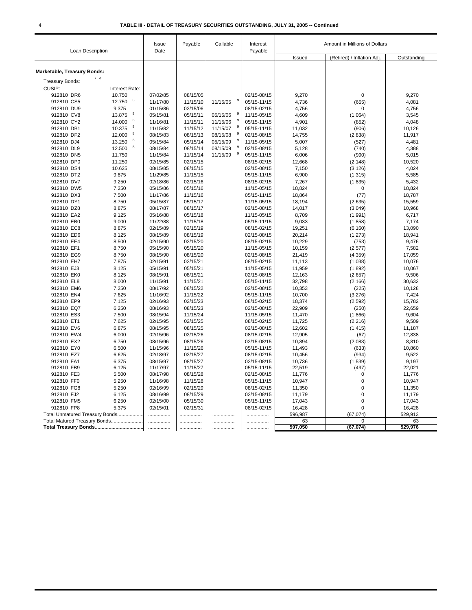| Loan Description               |                      | Issue<br>Date | Payable  | Callable      | Interest<br>Payable | Amount in Millions of Dollars |                            |                |
|--------------------------------|----------------------|---------------|----------|---------------|---------------------|-------------------------------|----------------------------|----------------|
|                                |                      |               |          |               |                     | Issued                        | (Retired) / Inflation Adj. | Outstanding    |
| Marketable, Treasury Bonds:    |                      |               |          |               |                     |                               |                            |                |
| 7e<br><b>Treasury Bonds:</b>   |                      |               |          |               |                     |                               |                            |                |
| CUSIP:                         | Interest Rate:       |               |          |               |                     |                               |                            |                |
| 912810 DR6                     | 10.750               | 07/02/85      | 08/15/05 |               | 02/15-08/15         | 9,270                         | 0                          | 9,270          |
| 912810 CS5                     | 8<br>12.750          | 11/17/80      | 11/15/10 | 9<br>11/15/05 | 05/15-11/15         | 4,736                         |                            | 4,081          |
| 912810 DU9                     | 9.375                | 01/15/86      | 02/15/06 |               | 08/15-02/15         |                               | (655)<br>$\mathbf 0$       |                |
| 912810 CV8                     | 8<br>13.875          | 05/15/81      | 05/15/11 | 05/15/06      | 11/15-05/15         | 4,756<br>4,609                | (1,064)                    | 4,756<br>3,545 |
| 912810 CY2                     | 8<br>14.000          | 11/16/81      | 11/15/11 | 11/15/06      | 05/15-11/15         | 4,901                         | (852)                      | 4,048          |
| 912810 DB1                     | 10.375<br>8          | 11/15/82      | 11/15/12 | 9<br>11/15/07 | 05/15-11/15         | 11,032                        | (906)                      | 10,126         |
| 912810 DF2                     | 12.000<br>8          | 08/15/83      | 08/15/13 | 9<br>08/15/08 | 02/15-08/15         | 14,755                        | (2,838)                    | 11,917         |
| 912810 DJ4                     | 8<br>13.250          | 05/15/84      | 05/15/14 | 9<br>05/15/09 | 11/15-05/15         | 5,007                         | (527)                      | 4,481          |
| 912810 DL9                     | $_{\rm 8}$<br>12.500 | 08/15/84      | 08/15/14 | g<br>08/15/09 | 02/15-08/15         | 5,128                         | (740)                      | 4,388          |
| 912810 DN5                     | 11.750               | 11/15/84      | 11/15/14 | 9<br>11/15/09 | 05/15-11/15         | 6,006                         | (990)                      | 5,015          |
| 912810 DP0                     | 11.250               | 02/15/85      | 02/15/15 |               | 08/15-02/15         | 12,668                        | (2, 148)                   | 10,520         |
| 912810 DS4                     | 10.625               | 08/15/85      | 08/15/15 |               | 02/15-08/15         | 7,150                         | (3, 126)                   | 4,024          |
| 912810 DT2                     | 9.875                | 11/29/85      | 11/15/15 |               | 05/15-11/15         | 6,900                         | (1, 315)                   | 5,585          |
| 912810 DV7                     | 9.250                | 02/18/86      | 02/15/16 |               | 08/15-02/15         | 7,267                         | (1, 835)                   | 5,432          |
| 912810 DW5                     | 7.250                | 05/15/86      | 05/15/16 |               | 11/15-05/15         | 18,824                        | 0                          | 18,824         |
| 912810 DX3                     | 7.500                | 11/17/86      | 11/15/16 |               | 05/15-11/15         | 18,864                        | (77)                       | 18,787         |
| 912810 DY1                     | 8.750                | 05/15/87      | 05/15/17 |               | 11/15-05/15         | 18,194                        | (2,635)                    | 15,559         |
| 912810 DZ8                     | 8.875                | 08/17/87      | 08/15/17 |               | 02/15-08/15         | 14,017                        | (3,049)                    | 10,968         |
| 912810 EA2                     | 9.125                | 05/16/88      | 05/15/18 |               | 11/15-05/15         | 8,709                         | (1,991)                    | 6,717          |
| 912810 EB0                     | 9.000                | 11/22/88      | 11/15/18 |               | 05/15-11/15         | 9,033                         | (1,858)                    | 7,174          |
| 912810 EC8                     | 8.875                | 02/15/89      | 02/15/19 |               | 08/15-02/15         | 19,251                        | (6, 160)                   | 13,090         |
| 912810 ED6                     | 8.125                | 08/15/89      | 08/15/19 |               | 02/15-08/15         | 20,214                        | (1,273)                    | 18,941         |
| 912810 EE4                     | 8.500                | 02/15/90      | 02/15/20 |               | 08/15-02/15         | 10,229                        | (753)                      | 9,476          |
| 912810 EF1                     | 8.750                | 05/15/90      | 05/15/20 |               | 11/15-05/15         | 10,159                        | (2,577)                    | 7,582          |
| 912810 EG9                     | 8.750                | 08/15/90      | 08/15/20 |               | 02/15-08/15         | 21,419                        | (4, 359)                   | 17,059         |
| 912810 EH7                     | 7.875                | 02/15/91      | 02/15/21 |               | 08/15-02/15         | 11,113                        | (1,038)                    | 10,076         |
| 912810 EJ3                     | 8.125                | 05/15/91      | 05/15/21 |               | 11/15-05/15         | 11,959                        | (1,892)                    | 10,067         |
| 912810 EK0                     | 8.125                | 08/15/91      | 08/15/21 |               | 02/15-08/15         | 12,163                        | (2,657)                    | 9,506          |
| 912810 EL8                     | 8.000                | 11/15/91      | 11/15/21 |               | 05/15-11/15         | 32,798                        | (2, 166)                   | 30,632         |
| 912810 EM6                     | 7.250                | 08/17/92      | 08/15/22 |               | 02/15-08/15         | 10,353                        | (225)                      | 10,128         |
| 912810 EN4                     | 7.625                | 11/16/92      | 11/15/22 |               | 05/15-11/15         | 10,700                        | (3,276)                    | 7,424          |
| 912810 EP9                     | 7.125                | 02/16/93      | 02/15/23 |               | 08/15-02/15         | 18,374                        | (2,592)                    | 15,782         |
| 912810 EQ7                     | 6.250                | 08/16/93      | 08/15/23 |               | 02/15-08/15         | 22,909                        | (250)                      | 22,659         |
| 912810 ES3                     | 7.500                | 08/15/94      | 11/15/24 |               | 11/15-05/15         | 11,470                        | (1,866)                    | 9,604          |
| 912810 ET1                     | 7.625                | 02/15/95      | 02/15/25 |               | 08/15-02/15         | 11,725                        | (2, 216)                   | 9,509          |
| 912810 EV6                     | 6.875                | 08/15/95      | 08/15/25 |               | 02/15-08/15         | 12,602                        | (1, 415)                   | 11,187         |
| 912810 EW4                     | 6.000                | 02/15/96      | 02/15/26 |               | 08/15-02/15         | 12,905                        | (67)                       | 12,838         |
| 912810 EX2                     | 6.750                | 08/15/96      | 08/15/26 |               | 02/15-08/15         | 10,894                        | (2,083)                    | 8,810          |
| 912810 EY0                     | 6.500                | 11/15/96      | 11/15/26 |               | 05/15-11/15         | 11,493                        | (633)                      | 10,860         |
| 912810 EZ7                     | 6.625                | 02/18/97      | 02/15/27 |               | 08/15-02/15         | 10,456                        | (934)                      | 9,522          |
| 912810 FA1                     | 6.375                | 08/15/97      | 08/15/27 |               | 02/15-08/15         | 10,736                        | (1, 539)                   | 9,197          |
| 912810 FB9                     | 6.125                | 11/17/97      | 11/15/27 |               | 05/15-11/15         | 22,519                        | (497)                      | 22,021         |
| 912810 FE3                     | 5.500                | 08/17/98      | 08/15/28 |               | 02/15-08/15         | 11,776                        | 0                          | 11,776         |
| 912810 FF0                     | 5.250                | 11/16/98      | 11/15/28 |               | 05/15-11/15         | 10,947                        | 0                          | 10,947         |
| 912810 FG8                     | 5.250                | 02/16/99      | 02/15/29 |               | 08/15-02/15         | 11,350                        | 0                          | 11,350         |
| 912810 FJ2                     | 6.125                | 08/16/99      | 08/15/29 |               | 02/15-08/15         | 11,179                        | 0                          | 11,179         |
| 912810 FM5                     | 6.250                | 02/15/00      | 05/15/30 |               | 05/15-11/15         | 17,043                        | $\Omega$                   | 17,043         |
| 912810 FP8                     | 5.375                | 02/15/01      | 02/15/31 |               | 08/15-02/15         | 16,428                        | 0                          | 16,428         |
| Total Unmatured Treasury Bonds |                      | .             | .        |               | .                   | 596,987                       | (67, 074)                  | 529,913        |
| Total Matured Treasury Bonds   |                      | .             |          | .             |                     | 63                            | $\mathbf 0$                | 63             |
|                                |                      |               |          |               |                     | 597,050                       | (67,074)                   | 529,976        |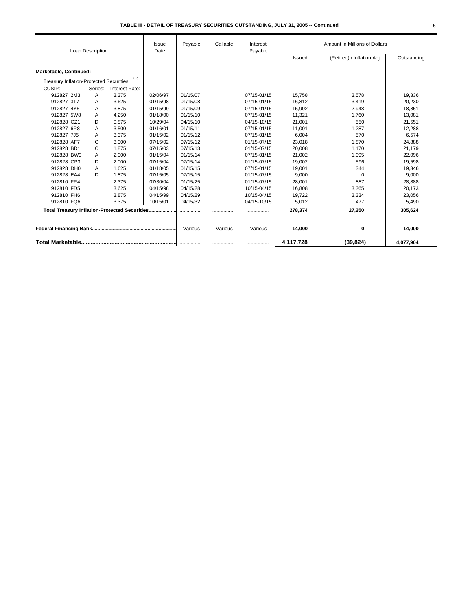|                                               | Loan Description |                | Issue<br>Date | Payable  | Callable | Interest<br>Payable | Amount in Millions of Dollars |                            |             |
|-----------------------------------------------|------------------|----------------|---------------|----------|----------|---------------------|-------------------------------|----------------------------|-------------|
|                                               |                  |                |               |          |          |                     | Issued                        | (Retired) / Inflation Adj. | Outstanding |
| Marketable, Continued:                        |                  |                |               |          |          |                     |                               |                            |             |
| Treasury Inflation-Protected Securities:      |                  | 7 e            |               |          |          |                     |                               |                            |             |
| CUSIP:                                        | Series:          | Interest Rate: |               |          |          |                     |                               |                            |             |
| 912827 2M3                                    | A                | 3.375          | 02/06/97      | 01/15/07 |          | 07/15-01/15         | 15,758                        | 3,578                      | 19,336      |
| 912827 3T7                                    | A                | 3.625          | 01/15/98      | 01/15/08 |          | 07/15-01/15         | 16,812                        | 3,419                      | 20,230      |
| 912827 4Y5                                    | A                | 3.875          | 01/15/99      | 01/15/09 |          | 07/15-01/15         | 15,902                        | 2,948                      | 18,851      |
| 912827 5W8                                    | Α                | 4.250          | 01/18/00      | 01/15/10 |          | 07/15-01/15         | 11,321                        | 1,760                      | 13,081      |
| 912828 CZ1                                    | D                | 0.875          | 10/29/04      | 04/15/10 |          | 04/15-10/15         | 21,001                        | 550                        | 21,551      |
| 912827 6R8                                    | A                | 3.500          | 01/16/01      | 01/15/11 |          | 07/15-01/15         | 11,001                        | 1,287                      | 12,288      |
| 912827 7J5                                    | Α                | 3.375          | 01/15/02      | 01/15/12 |          | 07/15-01/15         | 6,004                         | 570                        | 6,574       |
| 912828 AF7                                    | C                | 3.000          | 07/15/02      | 07/15/12 |          | 01/15-07/15         | 23,018                        | 1,870                      | 24,888      |
| 912828 BD1                                    | C                | 1.875          | 07/15/03      | 07/15/13 |          | 01/15-07/15         | 20,008                        | 1,170                      | 21,179      |
| 912828 BW9                                    | A                | 2.000          | 01/15/04      | 01/15/14 |          | 07/15-01/15         | 21,002                        | 1,095                      | 22,096      |
| 912828 CP3                                    | D                | 2.000          | 07/15/04      | 07/15/14 |          | 01/15-07/15         | 19,002                        | 596                        | 19,598      |
| 912828 DH0                                    | A                | 1.625          | 01/18/05      | 01/15/15 |          | 07/15-01/15         | 19,001                        | 344                        | 19,346      |
| 912828 EA4                                    | D                | 1.875          | 07/15/05      | 07/15/15 |          | 01/15-07/15         | 9,000                         | $\Omega$                   | 9,000       |
| 912810 FR4                                    |                  | 2.375          | 07/30/04      | 01/15/25 |          | 01/15-07/15         | 28,001                        | 887                        | 28,888      |
| 912810 FD5                                    |                  | 3.625          | 04/15/98      | 04/15/28 |          | 10/15-04/15         | 16,808                        | 3,365                      | 20,173      |
| 912810 FH6                                    |                  | 3.875          | 04/15/99      | 04/15/29 |          | 10/15-04/15         | 19,722                        | 3,334                      | 23,056      |
| 912810 FQ6                                    |                  | 3.375          | 10/15/01      | 04/15/32 |          | 04/15-10/15         | 5,012                         | 477                        | 5,490       |
| Total Treasury Inflation-Protected Securities |                  |                |               | .        |          |                     | 278,374                       | 27,250                     | 305.624     |
|                                               |                  |                |               | Various  | Various  | Various             | 14,000                        | 0                          | 14.000      |
|                                               |                  |                |               |          | .        | .                   | 4,117,728                     | (39, 824)                  | 4,077,904   |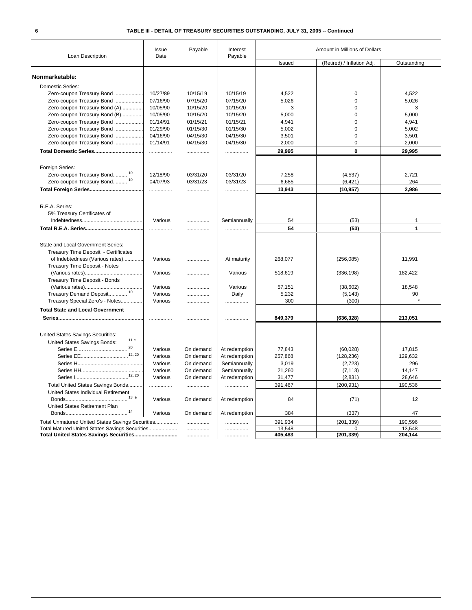| Loan Description                                                           | Issue<br>Date | Payable   | Interest<br>Payable | Amount in Millions of Dollars |                            |             |
|----------------------------------------------------------------------------|---------------|-----------|---------------------|-------------------------------|----------------------------|-------------|
|                                                                            |               |           |                     | Issued                        | (Retired) / Inflation Adj. | Outstanding |
|                                                                            |               |           |                     |                               |                            |             |
| Nonmarketable:                                                             |               |           |                     |                               |                            |             |
| Domestic Series:                                                           |               |           |                     |                               |                            |             |
| Zero-coupon Treasury Bond                                                  | 10/27/89      | 10/15/19  | 10/15/19            | 4,522                         | 0                          | 4,522       |
| Zero-coupon Treasury Bond                                                  | 07/16/90      | 07/15/20  | 07/15/20            | 5,026                         | $\Omega$                   | 5,026       |
| Zero-coupon Treasury Bond (A)                                              | 10/05/90      | 10/15/20  | 10/15/20            | 3                             | 0                          | 3           |
| Zero-coupon Treasury Bond (B)                                              | 10/05/90      | 10/15/20  | 10/15/20            | 5,000                         | $\mathbf 0$                | 5,000       |
| Zero-coupon Treasury Bond                                                  | 01/14/91      | 01/15/21  | 01/15/21            | 4,941                         | $\mathbf 0$                | 4,941       |
| Zero-coupon Treasury Bond                                                  | 01/29/90      | 01/15/30  | 01/15/30            | 5,002                         | $\mathbf 0$                | 5,002       |
| Zero-coupon Treasury Bond                                                  | 04/16/90      | 04/15/30  | 04/15/30            | 3,501                         | $\Omega$                   | 3,501       |
| Zero-coupon Treasury Bond                                                  | 01/14/91      | 04/15/30  | 04/15/30            | 2,000                         | 0                          | 2,000       |
|                                                                            | .             | .         | .                   | 29,995                        | 0                          | 29,995      |
|                                                                            |               |           |                     |                               |                            |             |
| Foreign Series:                                                            |               |           |                     |                               |                            |             |
| Zero-coupon Treasury Bond <sup>10</sup>                                    | 12/18/90      | 03/31/20  | 03/31/20            | 7,258                         | (4, 537)                   | 2,721       |
| Zero-coupon Treasury Bond <sup>10</sup>                                    | 04/07/93      | 03/31/23  | 03/31/23            | 6,685                         | (6, 421)                   | 264         |
|                                                                            | .             | .         | .                   | 13,943                        | (10, 957)                  | 2.986       |
| R.E.A. Series:                                                             |               |           |                     |                               |                            |             |
| 5% Treasury Certificates of                                                |               |           |                     |                               |                            |             |
|                                                                            | Various       | .         | Semiannually        | 54                            | (53)                       | 1           |
|                                                                            |               |           |                     |                               |                            |             |
|                                                                            | .             |           |                     | 54                            | (53)                       | 1           |
| State and Local Government Series:<br>Treasury Time Deposit - Certificates |               |           |                     |                               |                            |             |
| of Indebtedness (Various rates)<br>Treasury Time Deposit - Notes           | Various       | .         | At maturity         | 268,077                       | (256, 085)                 | 11,991      |
|                                                                            | Various       | .         | Various             | 518,619                       | (336, 198)                 | 182,422     |
| Treasury Time Deposit - Bonds                                              |               |           |                     |                               |                            |             |
|                                                                            | Various       | .         | Various             | 57,151                        | (38, 602)                  | 18,548      |
| Treasury Demand Deposit <sup>10</sup>                                      | Various       | .         | Daily               | 5,232                         | (5, 143)                   | 90          |
| Treasury Special Zero's - Notes                                            | Various       | .         | .                   | 300                           | (300)                      |             |
|                                                                            |               |           |                     |                               |                            |             |
| <b>Total State and Local Government</b>                                    |               |           |                     |                               |                            |             |
|                                                                            |               | .         |                     | 849,379                       | (636, 328)                 | 213,051     |
| United States Savings Securities:                                          |               |           |                     |                               |                            |             |
| 11 e<br>United States Savings Bonds:                                       |               |           |                     |                               |                            |             |
| 20<br>Series E                                                             | Various       | On demand | At redemption       | 77,843                        | (60, 028)                  | 17,815      |
|                                                                            | Various       | On demand | At redemption       | 257,868                       | (128, 236)                 | 129,632     |
|                                                                            | Various       | On demand | Semiannually        | 3,019                         | (2,723)                    | 296         |
|                                                                            | Various       | On demand | Semiannually        | 21,260                        | (7, 113)                   | 14,147      |
|                                                                            | Various       | On demand | At redemption       | 31,477                        | (2,831)                    | 28,646      |
| Total United States Savings Bonds                                          | .             | .         | .                   | 391,467                       | (200, 931)                 | 190,536     |
| United States Individual Retirement                                        |               |           |                     |                               |                            |             |
| United States Retirement Plan                                              | Various       | On demand | At redemption       | 84                            | (71)                       | 12          |
|                                                                            | Various       | On demand | At redemption       | 384                           | (337)                      | 47          |
| Total Unmatured United States Savings Securities                           |               |           |                     | 391,934                       | (201, 339)                 | 190,596     |
| Total Matured United States Savings Securities                             |               | .         |                     | 13,548                        | $\Omega$                   | 13,548      |
|                                                                            |               |           | .                   | 405,483                       | (201, 339)                 | 204,144     |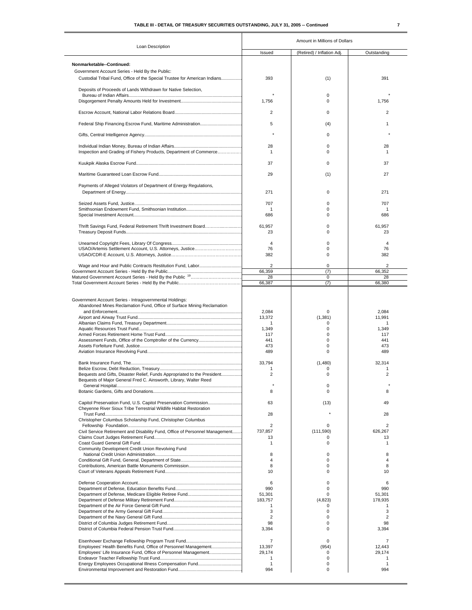## **TABLE III - DETAIL OF TREASURY SECURITIES OUTSTANDING, JULY 31, 2005 -- Continued 7**

| ۰ |   |  |
|---|---|--|
|   | I |  |
|   |   |  |

|                                                                                                                                                           | Amount in Millions of Dollars                             |                                                    |                                                           |  |  |
|-----------------------------------------------------------------------------------------------------------------------------------------------------------|-----------------------------------------------------------|----------------------------------------------------|-----------------------------------------------------------|--|--|
| Loan Description                                                                                                                                          | Issued                                                    | (Retired) / Inflation Adj.                         | Outstanding                                               |  |  |
| Nonmarketable--Continued:<br>Government Account Series - Held By the Public:<br>Custodial Tribal Fund, Office of the Special Trustee for American Indians | 393                                                       | (1)                                                | 391                                                       |  |  |
| Deposits of Proceeds of Lands Withdrawn for Native Selection,                                                                                             | 1,756                                                     | 0<br>0                                             | 1,756                                                     |  |  |
|                                                                                                                                                           | $\overline{2}$                                            | 0                                                  | 2                                                         |  |  |
|                                                                                                                                                           | 5                                                         | (4)                                                | 1                                                         |  |  |
|                                                                                                                                                           | $\star$                                                   | 0                                                  |                                                           |  |  |
| Inspection and Grading of Fishery Products, Department of Commerce                                                                                        | 28<br>1                                                   | 0<br>0                                             | 28<br>1                                                   |  |  |
|                                                                                                                                                           | 37                                                        | 0                                                  | 37                                                        |  |  |
|                                                                                                                                                           | 29                                                        | (1)                                                | 27                                                        |  |  |
| Payments of Alleged Violators of Department of Energy Regulations,                                                                                        | 271                                                       | 0                                                  | 271                                                       |  |  |
|                                                                                                                                                           | 707                                                       | 0                                                  | 707                                                       |  |  |
|                                                                                                                                                           | $\mathbf{1}$<br>686                                       | 0<br>0                                             | 1<br>686                                                  |  |  |
| Thrift Savings Fund, Federal Retirement Thrift Investment Board                                                                                           | 61,957<br>23                                              | 0<br>0                                             | 61,957<br>23                                              |  |  |
|                                                                                                                                                           | $\overline{4}$                                            | 0                                                  | 4                                                         |  |  |
|                                                                                                                                                           | 76<br>382                                                 | 0<br>0                                             | 76<br>382                                                 |  |  |
|                                                                                                                                                           | 2<br>66,359                                               | 0<br>(7)                                           | 2<br>66,352                                               |  |  |
|                                                                                                                                                           | 28                                                        | 0                                                  | 28                                                        |  |  |
|                                                                                                                                                           | 66,387                                                    | (7)                                                | 66,380                                                    |  |  |
| Government Account Series - Intragovernmental Holdings:<br>Abandoned Mines Reclamation Fund, Office of Surface Mining Reclamation                         | 2,084<br>13,372<br>1<br>1,349<br>117<br>441<br>473<br>489 | $\Omega$<br>(1, 381)<br>0<br>0<br>0<br>0<br>0<br>0 | 2,084<br>11,991<br>1<br>1,349<br>117<br>441<br>473<br>489 |  |  |
| Bequests and Gifts, Disaster Relief, Funds Appropriated to the President<br>Bequests of Major General Fred C. Ainsworth, Library, Walter Reed             | 33,794<br>1<br>2<br>8                                     | (1,480)<br>0<br>$\Omega$<br>0<br>0                 | 32,314<br>1<br>$\overline{2}$<br>8                        |  |  |
| Cheyenne River Sioux Tribe Terrestrial Wildlife Habitat Restoration                                                                                       | 63                                                        | (13)                                               | 49                                                        |  |  |
| Christopher Columbus Scholarship Fund, Christopher Columbus                                                                                               | 28<br>2                                                   | 0                                                  | 28<br>2                                                   |  |  |
| Civil Service Retirement and Disability Fund. Office of Personnel Management<br>Community Development Credit Union Revolving Fund                         | 737.857<br>13<br>1<br>8                                   | (111,590)<br>0<br>0<br>0                           | 626,267<br>13<br>1<br>8                                   |  |  |
|                                                                                                                                                           | $\overline{4}$<br>8                                       | 0<br>0                                             | $\overline{4}$<br>8                                       |  |  |
|                                                                                                                                                           | 10                                                        | 0                                                  | 10                                                        |  |  |
|                                                                                                                                                           | 6<br>990                                                  | 0<br>0                                             | 6<br>990                                                  |  |  |
|                                                                                                                                                           | 51,301                                                    | 0                                                  | 51,301                                                    |  |  |
|                                                                                                                                                           | 183,757<br>1                                              | (4,823)<br>0                                       | 178,935<br>1                                              |  |  |
|                                                                                                                                                           | 3<br>$\overline{2}$                                       | 0<br>0                                             | 3<br>2                                                    |  |  |
|                                                                                                                                                           | 98<br>3,394                                               | 0<br>0                                             | 98<br>3,394                                               |  |  |
| Employees' Health Benefits Fund, Office of Personnel Management                                                                                           | 7<br>13,397<br>29,174<br>$\mathbf{1}$<br>1<br>994         | 0<br>(954)<br>0<br>0<br>0<br>0                     | 7<br>12,443<br>29,174<br>$\mathbf{1}$<br>1<br>994         |  |  |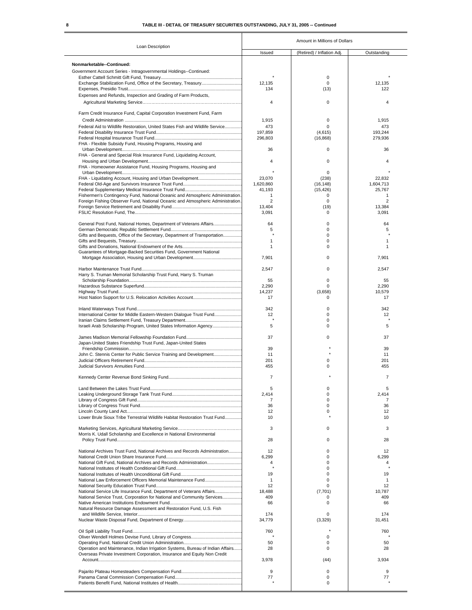### **8 TABLE III - DETAIL OF TREASURY SECURITIES OUTSTANDING, JULY 31, 2005 -- Continued** ٦

|                                                                                                                                                                   |                    | Amount in Millions of Dollars |                     |
|-------------------------------------------------------------------------------------------------------------------------------------------------------------------|--------------------|-------------------------------|---------------------|
| Loan Description                                                                                                                                                  | Issued             | (Retired) / Inflation Adj.    | Outstanding         |
| Nonmarketable--Continued:                                                                                                                                         |                    |                               |                     |
| Government Account Series - Intragovernmental Holdings--Continued:                                                                                                |                    |                               |                     |
|                                                                                                                                                                   |                    | 0                             |                     |
|                                                                                                                                                                   | 12.135<br>134      | 0<br>(13)                     | 12.135<br>122       |
| Expenses and Refunds, Inspection and Grading of Farm Products,                                                                                                    |                    |                               |                     |
|                                                                                                                                                                   | $\overline{4}$     | 0                             | 4                   |
| Farm Credit Insurance Fund, Capital Corporation Investment Fund, Farm                                                                                             |                    |                               |                     |
|                                                                                                                                                                   | 1,915              | 0                             | 1,915               |
| Federal Aid to Wildlife Restoration, United States Fish and Wildlife Service                                                                                      | 473                | 0                             | 473                 |
|                                                                                                                                                                   | 197.859<br>296,803 | (4.615)<br>(16, 868)          | 193,244<br>279.936  |
| FHA - Flexible Subsidy Fund, Housing Programs, Housing and                                                                                                        |                    |                               |                     |
|                                                                                                                                                                   | 36                 | 0                             | 36                  |
| FHA - General and Special Risk Insurance Fund, Liquidating Account,                                                                                               | $\overline{4}$     | 0                             | 4                   |
| FHA - Homeowner Assistance Fund, Housing Programs, Housing and                                                                                                    |                    |                               |                     |
|                                                                                                                                                                   | $\star$<br>23,070  | 0<br>(238)                    | 22,832              |
|                                                                                                                                                                   | 1,620,860          | (16, 148)                     | 1,604,713           |
|                                                                                                                                                                   | 41,193             | (15, 426)                     | 25,767              |
| Fishermen's Contingency Fund, National Oceanic and Atmospheric Administration.<br>Foreign Fishing Observer Fund, National Oceanic and Atmospheric Administration. | $\mathbf{1}$<br>2  | 0<br>0                        | 1<br>$\overline{2}$ |
|                                                                                                                                                                   | 13,404             | (19)                          | 13,384              |
|                                                                                                                                                                   | 3,091              | $\mathbf 0$                   | 3,091               |
| General Post Fund, National Homes, Department of Veterans Affairs                                                                                                 | 64                 | 0                             | 64                  |
|                                                                                                                                                                   | 5                  | 0                             | 5                   |
| Gifts and Bequests, Office of the Secretary, Department of Transportation                                                                                         | $\mathbf{1}$       | 0<br>0                        | 1                   |
|                                                                                                                                                                   | 1                  | 0                             | 1                   |
| Guarantees of Mortgage-Backed Securities Fund, Government National                                                                                                |                    |                               |                     |
|                                                                                                                                                                   | 7,901              | 0                             | 7,901               |
|                                                                                                                                                                   | 2,547              | 0                             | 2,547               |
| Harry S. Truman Memorial Scholarship Trust Fund, Harry S. Truman                                                                                                  | 55                 | 0                             | 55                  |
|                                                                                                                                                                   | 2,290              | 0                             | 2,290               |
|                                                                                                                                                                   | 14,237             | (3,658)                       | 10,579              |
|                                                                                                                                                                   | 17                 | 0                             | 17                  |
|                                                                                                                                                                   | 342                | 0                             | 342                 |
| International Center for Middle Eastern-Western Dialogue Trust Fund                                                                                               | 12                 | 0                             | 12                  |
| Israeli Arab Scholarship Program, United States Information Agency                                                                                                | 5                  | 0<br>0                        | 5                   |
|                                                                                                                                                                   |                    |                               |                     |
| Japan-United States Friendship Trust Fund, Japan-United States                                                                                                    | 37                 | 0                             | 37                  |
|                                                                                                                                                                   | 39                 |                               | 39                  |
| John C. Stennis Center for Public Service Training and Development                                                                                                | 11                 |                               | 11                  |
|                                                                                                                                                                   | 201<br>455         | 0<br>0                        | 201<br>455          |
|                                                                                                                                                                   |                    |                               |                     |
|                                                                                                                                                                   | $\overline{7}$     |                               | $\overline{7}$      |
|                                                                                                                                                                   | 5                  | 0                             | 5                   |
|                                                                                                                                                                   | 2,414<br>7         | 0<br>0                        | 2,414<br>7          |
|                                                                                                                                                                   | 36                 | 0                             | 36                  |
|                                                                                                                                                                   | 12<br>10           | 0                             | 12<br>10            |
| Lower Brule Sioux Tribe Terrestrial Wildlife Habitat Restoration Trust Fund                                                                                       |                    |                               |                     |
|                                                                                                                                                                   | 3                  | 0                             | 3                   |
| Morris K. Udall Scholarship and Excellence in National Environmental                                                                                              | 28                 | 0                             | 28                  |
|                                                                                                                                                                   |                    |                               |                     |
| National Archives Trust Fund, National Archives and Records Administration                                                                                        | 12                 | 0                             | 12                  |
| National Gift Fund, National Archives and Records Administration                                                                                                  | 6,299<br>4         | 0<br>0                        | 6,299<br>4          |
|                                                                                                                                                                   |                    | 0                             |                     |
| National Law Enforcement Officers Memorial Maintenance Fund                                                                                                       | 19<br>1            | 0<br>0                        | 19<br>1             |
|                                                                                                                                                                   | 12                 | 0                             | 12                  |
| National Service Life Insurance Fund, Department of Veterans Affairs                                                                                              | 18,488             | (7, 701)                      | 10,787              |
| National Service Trust, Corporation for National and Community Services                                                                                           | 409<br>66          | 0<br>0                        | 409<br>66           |
| Natural Resource Damage Assessment and Restoration Fund, U.S. Fish                                                                                                |                    |                               |                     |
|                                                                                                                                                                   | 174                | 0<br>(3, 329)                 | 174<br>31,451       |
|                                                                                                                                                                   | 34,779             |                               |                     |
|                                                                                                                                                                   | 760                |                               | 760                 |
|                                                                                                                                                                   | 50                 | 0<br>0                        | 50                  |
| Operation and Maintenance, Indian Irrigation Systems, Bureau of Indian Affairs                                                                                    | 28                 | 0                             | 28                  |
| Overseas Private Investment Corporation, Insurance and Equity Non Credit                                                                                          |                    |                               |                     |
|                                                                                                                                                                   | 3,978              | (44)                          | 3,934               |
|                                                                                                                                                                   | 9                  | 0                             | 9                   |
|                                                                                                                                                                   | 77                 | 0<br>0                        | 77                  |
|                                                                                                                                                                   |                    |                               |                     |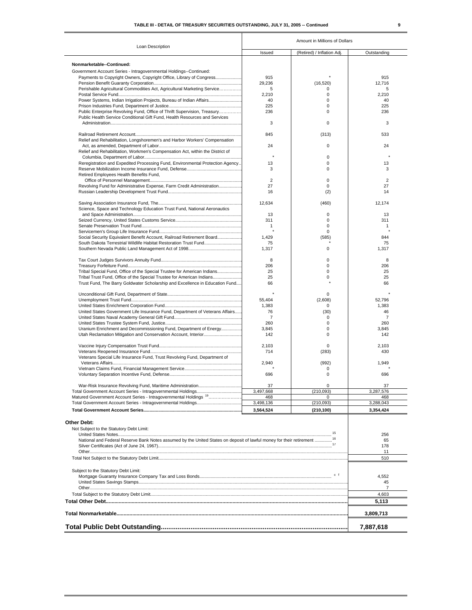| I |  |  |
|---|--|--|
|   |  |  |
|   |  |  |
|   |  |  |

|                                                                                                                                                       | Amount in Millions of Dollars |                            |                      |  |  |  |
|-------------------------------------------------------------------------------------------------------------------------------------------------------|-------------------------------|----------------------------|----------------------|--|--|--|
| Loan Description                                                                                                                                      | Issued                        | (Retired) / Inflation Adj. | Outstanding          |  |  |  |
| Nonmarketable--Continued:                                                                                                                             |                               |                            |                      |  |  |  |
| Government Account Series - Intragovernmental Holdings--Continued:                                                                                    |                               |                            |                      |  |  |  |
| Payments to Copyright Owners, Copyright Office, Library of Congress                                                                                   | 915                           |                            | 915                  |  |  |  |
|                                                                                                                                                       | 29,236                        | (16, 520)                  | 12.716               |  |  |  |
| Perishable Agricultural Commodities Act, Agricultural Marketing Service                                                                               | 5                             | 0                          | 5                    |  |  |  |
|                                                                                                                                                       | 2,210                         | 0                          | 2,210                |  |  |  |
| Power Systems, Indian Irrigation Projects, Bureau of Indian Affairs                                                                                   | 40                            | 0                          | 40                   |  |  |  |
| Public Enterprise Revolving Fund, Office of Thrift Supervision, Treasury                                                                              | 225<br>236                    | 0<br>0                     | 225<br>236           |  |  |  |
| Public Health Service Conditional Gift Fund, Health Resources and Services                                                                            |                               |                            |                      |  |  |  |
|                                                                                                                                                       | 3                             | 0                          | 3                    |  |  |  |
|                                                                                                                                                       |                               |                            |                      |  |  |  |
| Relief and Rehabilitation, Longshoremen's and Harbor Workers' Compensation                                                                            | 845                           | (313)                      | 533                  |  |  |  |
|                                                                                                                                                       | 24                            | 0                          | 24                   |  |  |  |
| Relief and Rehabilitation, Workmen's Compensation Act, within the District of                                                                         |                               |                            |                      |  |  |  |
|                                                                                                                                                       |                               | 0                          |                      |  |  |  |
| Reregistration and Expedited Processing Fund, Environmental Protection Agency                                                                         | 13                            | 0                          | 13                   |  |  |  |
|                                                                                                                                                       | 3                             | 0                          | 3                    |  |  |  |
| Retired Employees Health Benefits Fund,                                                                                                               |                               |                            |                      |  |  |  |
|                                                                                                                                                       | 2<br>27                       | 0<br>0                     | 2<br>27              |  |  |  |
| Revolving Fund for Administrative Expense, Farm Credit Administration                                                                                 | 16                            | (2)                        | 14                   |  |  |  |
|                                                                                                                                                       |                               |                            |                      |  |  |  |
|                                                                                                                                                       | 12,634                        | (460)                      | 12,174               |  |  |  |
| Science, Space and Technology Education Trust Fund, National Aeronautics                                                                              |                               |                            |                      |  |  |  |
|                                                                                                                                                       | 13                            | 0                          | 13                   |  |  |  |
|                                                                                                                                                       | 311                           | 0                          | 311                  |  |  |  |
|                                                                                                                                                       | 1                             | 0                          | 1                    |  |  |  |
|                                                                                                                                                       |                               | 0                          |                      |  |  |  |
| Social Security Equivalent Benefit Account, Railroad Retirement Board<br>South Dakota Terrestrial Wildlife Habitat Restoration Trust Fund             | 1,429<br>75                   | (585)                      | 844<br>75            |  |  |  |
|                                                                                                                                                       | 1,317                         | 0                          | 1,317                |  |  |  |
|                                                                                                                                                       |                               |                            |                      |  |  |  |
|                                                                                                                                                       | 8                             | 0                          | 8                    |  |  |  |
|                                                                                                                                                       | 206                           | 0                          | 206                  |  |  |  |
| Tribal Special Fund, Office of the Special Trustee for American Indians                                                                               | 25                            | 0                          | 25                   |  |  |  |
| Tribal Trust Fund, Office of the Special Trustee for American Indians<br>Trust Fund, The Barry Goldwater Scholarship and Excellence in Education Fund | 25<br>66                      | 0                          | 25<br>66             |  |  |  |
|                                                                                                                                                       |                               |                            |                      |  |  |  |
|                                                                                                                                                       |                               | 0                          |                      |  |  |  |
|                                                                                                                                                       | 55,404                        | (2,608)                    | 52,796               |  |  |  |
|                                                                                                                                                       | 1,383                         | 0                          | 1,383                |  |  |  |
| United States Government Life Insurance Fund, Department of Veterans Affairs                                                                          | 76                            | (30)                       | 46                   |  |  |  |
|                                                                                                                                                       | $\overline{7}$                | 0<br>0                     | $\overline{7}$       |  |  |  |
| Uranium Enrichment and Decommissioning Fund, Department of Energy                                                                                     | 260<br>3,845                  | 0                          | 260<br>3,845         |  |  |  |
|                                                                                                                                                       | 142                           | 0                          | 142                  |  |  |  |
|                                                                                                                                                       |                               |                            |                      |  |  |  |
|                                                                                                                                                       | 2,103                         | 0                          | 2,103                |  |  |  |
|                                                                                                                                                       | 714                           | (283)                      | 430                  |  |  |  |
| Veterans Special Life Insurance Fund, Trust Revolving Fund, Department of                                                                             |                               |                            |                      |  |  |  |
|                                                                                                                                                       | 2,940                         | (992)                      | 1,949                |  |  |  |
|                                                                                                                                                       | 696                           | 0<br>$\Omega$              | 696                  |  |  |  |
|                                                                                                                                                       |                               |                            |                      |  |  |  |
|                                                                                                                                                       | 37                            | 0                          | 37                   |  |  |  |
|                                                                                                                                                       | 3,497,668                     | (210, 093)                 | 3,287,576            |  |  |  |
| Matured Government Account Series - Intragovernmental Holdings <sup>19</sup>                                                                          | 468                           | 0                          | 468                  |  |  |  |
|                                                                                                                                                       | 3,498,136                     | (210,093)                  | 3,288,043            |  |  |  |
|                                                                                                                                                       | 3,564,524                     | (210, 100)                 | 3,354,424            |  |  |  |
| <b>Other Debt:</b>                                                                                                                                    |                               |                            |                      |  |  |  |
|                                                                                                                                                       |                               |                            |                      |  |  |  |
| Not Subject to the Statutory Debt Limit:                                                                                                              |                               |                            | 256                  |  |  |  |
| National and Federal Reserve Bank Notes assumed by the United States on deposit of lawful money for their retirement <sup>16</sup>                    |                               |                            | 65                   |  |  |  |
|                                                                                                                                                       |                               |                            | 178                  |  |  |  |
|                                                                                                                                                       |                               |                            | 11                   |  |  |  |
|                                                                                                                                                       |                               |                            | 510                  |  |  |  |
|                                                                                                                                                       |                               |                            |                      |  |  |  |
| Subject to the Statutory Debt Limit:                                                                                                                  |                               |                            |                      |  |  |  |
|                                                                                                                                                       |                               |                            | 4,552                |  |  |  |
|                                                                                                                                                       |                               |                            | 45<br>$\overline{7}$ |  |  |  |
|                                                                                                                                                       |                               |                            | 4,603                |  |  |  |
|                                                                                                                                                       |                               |                            | 5,113                |  |  |  |
|                                                                                                                                                       |                               |                            |                      |  |  |  |
|                                                                                                                                                       |                               |                            | 3,809,713            |  |  |  |
|                                                                                                                                                       |                               |                            |                      |  |  |  |
|                                                                                                                                                       |                               |                            | 7,887,618            |  |  |  |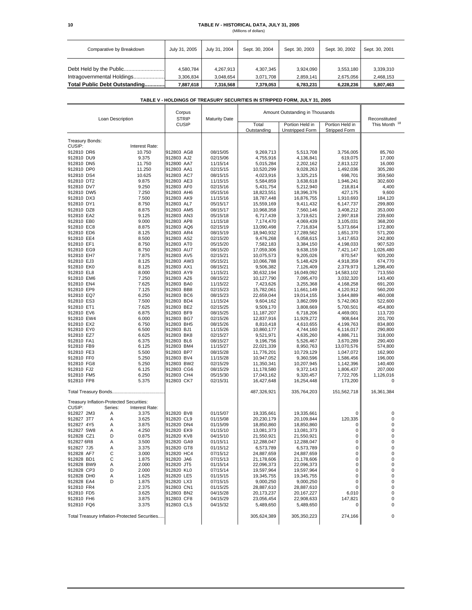# **10 TABLE IV - HISTORICAL DATA, JULY 31, 2005**

|  | (Millions of dollars) |  |
|--|-----------------------|--|
|  |                       |  |

| Comparative by Breakdown      | July 31, 2005          | July 31, 2004          | Sept. 30, 2004         | Sept. 30, 2003         | Sept. 30, 2002         | Sept. 30, 2001         |
|-------------------------------|------------------------|------------------------|------------------------|------------------------|------------------------|------------------------|
| Intragovernmental Holdings    | 4.580.784<br>3.306.834 | 4.267.913<br>3.048.654 | 4,307,345<br>3,071,708 | 3.924.090<br>2.859.141 | 3,553,180<br>2.675.056 | 3,339,310<br>2.468.153 |
| Total Public Debt Outstanding | 7,887,618              | 7,316,568              | 7,379,053              | 6,783,231              | 6,228,236              | 5,807,463              |

### **TABLE V - HOLDINGS OF TREASURY SECURITIES IN STRIPPED FORM, JULY 31, 2005**

| Loan Description                         |         | Corpus<br><b>STRIP</b><br><b>Maturity Date</b> |                          | Amount Outstanding in Thousands |                                           |                                         | Reconstituted          |                    |
|------------------------------------------|---------|------------------------------------------------|--------------------------|---------------------------------|-------------------------------------------|-----------------------------------------|------------------------|--------------------|
|                                          |         | CUSIP                                          |                          | Total<br>Outstanding            | Portion Held in<br><b>Unstripped Form</b> | Portion Held in<br><b>Stripped Form</b> | This Month 18          |                    |
| Treasury Bonds:                          |         |                                                |                          |                                 |                                           |                                         |                        |                    |
| CUSIP:                                   |         | Interest Rate:                                 |                          |                                 |                                           |                                         |                        |                    |
| 912810 DR6<br>912810 DU9                 |         | 10.750                                         | 912803 AG8               | 08/15/05                        | 9,269,713                                 | 5,513,708                               | 3,756,005              | 85,760             |
| 912810 DN5                               |         | 9.375                                          | 912803 AJ2<br>912800 AA7 | 02/15/06<br>11/15/14            | 4,755,916<br>5,015,284                    | 4,136,841                               | 619,075                | 17,000<br>16,000   |
| 912810 DP0                               |         | 11.750<br>11.250                               | 912803 AA1               | 02/15/15                        | 10,520,299                                | 2,202,162<br>9,028,263                  | 2,813,122<br>1,492,036 | 305,280            |
| 912810 DS4                               |         | 10.625                                         | 912803 AC7               | 08/15/15                        | 4,023,916                                 | 3,325,215                               | 698,701                | 359,560            |
| 912810 DT2                               |         | 9.875                                          | 912803 AE3               | 11/15/15                        | 5,584,859                                 | 3,638,618                               | 1,946,241              | 302,600            |
| 912810 DV7                               |         | 9.250                                          | 912803 AF0               | 02/15/16                        | 5,431,754                                 | 5,212,940                               | 218,814                | 4,400              |
| 912810 DW5                               |         | 7.250                                          | 912803 AH6               | 05/15/16                        | 18,823,551                                | 18,396,376                              | 427.175                | 9,600              |
| 912810 DX3                               |         | 7.500                                          | 912803 AK9               | 11/15/16                        | 18,787,448                                | 16,876,755                              | 1,910,693              | 184,120            |
| 912810 DY1                               |         | 8.750                                          | 912803 AL7               | 05/15/17                        | 15,559,169                                | 9,411,432                               | 6,147,737              | 299,800            |
| 912810 DZ8                               |         | 8.875                                          | 912803 AM5               | 08/15/17                        | 10,968,358                                | 7,560,146                               | 3,408,212              | 353,000            |
| 912810 EA2                               |         | 9.125                                          | 912803 AN3               | 05/15/18                        | 6,717,439                                 | 3,719,621                               | 2,997,818              | 239,600            |
| 912810 EB0                               |         | 9.000                                          | 912803 AP8               | 11/15/18                        | 7,174,470                                 | 4,069,439                               | 3,105,031              | 368,200            |
| 912810 EC8                               |         | 8.875                                          | 912803 AQ6               | 02/15/19                        | 13,090,498                                | 7,716,834                               | 5,373,664              | 172,800            |
| 912810 ED6                               |         | 8.125                                          | 912803 AR4               | 08/15/19                        | 18,940,932                                | 17,289,562                              | 1,651,370              | 571,200            |
| 912810 EE4                               |         | 8.500                                          | 912803 AS2               | 02/15/20                        | 9,476,268                                 | 6,058,615                               | 3,417,653              | 242,800            |
| 912810 EF1                               |         | 8.750                                          | 912803 AT0               | 05/15/20                        | 7,582,183                                 | 3,384,150                               | 4,198,033              | 907,520            |
| 912810 EG9                               |         | 8.750                                          | 912803 AU7               | 08/15/20                        | 17,059,306                                | 9,638,159                               | 7,421,147              | 1,026,480          |
| 912810 EH7                               |         | 7.875                                          | 912803 AV5               | 02/15/21                        | 10,075,573                                | 9,205,026                               | 870,547                | 920,200            |
| 912810 EJ3                               |         | 8.125                                          | 912803 AW3               | 05/15/21                        | 10,066,788                                | 5,148,429                               | 4,918,359              | 674,770            |
| 912810 EK0                               |         | 8.125                                          | 912803 AX1               | 08/15/21                        | 9,506,382                                 | 7,126,409                               | 2,379,973              | 1,298,400          |
| 912810 EL8                               |         | 8.000                                          | 912803 AY9               | 11/15/21                        | 30,632,194                                | 16,049,092                              | 14,583,102             | 713,550            |
| 912810 EM6                               |         | 7.250                                          | 912803 AZ6               | 08/15/22                        | 10,127,790                                | 7,095,470                               | 3,032,320              | 143,400            |
| 912810 EN4                               |         | 7.625                                          | 912803 BA0               | 11/15/22                        | 7,423,626                                 | 3,255,368                               | 4,168,258              | 691,200            |
| 912810 EP9                               |         | 7.125                                          | 912803 BB8               | 02/15/23                        | 15,782,061                                | 11,661,149                              | 4,120,912              | 560,200            |
| 912810 EQ7                               |         | 6.250                                          | 912803 BC6               | 08/15/23                        | 22,659,044                                | 19,014,155                              | 3,644,889              | 460,008            |
| 912810 ES3                               |         | 7.500                                          | 912803 BD4               | 11/15/24                        | 9,604,162                                 | 3,862,099                               | 5,742,063              | 522,600            |
| 912810 ET1                               |         | 7.625                                          | 912803 BE2               | 02/15/25                        | 9,509,170                                 | 3,808,669                               | 5,700,501<br>4.469.001 | 454,800<br>113.720 |
| 912810 EV6<br>912810 EW4                 |         | 6.875                                          | 912803 BF9               | 08/15/25                        | 11,187,207                                | 6,718,206                               |                        |                    |
| 912810 EX2                               |         | 6.000<br>6.750                                 | 912803 BG7<br>912803 BH5 | 02/15/26<br>08/15/26            | 12,837,916<br>8,810,418                   | 11,929,272<br>4,610,655                 | 908,644<br>4,199,763   | 201,700<br>834,800 |
| 912810 EY0                               |         | 6.500                                          | 912803 BJ1               | 11/15/26                        | 10,860,177                                | 4,744,160                               | 6,116,017              | 290,800            |
| 912810 EZ7                               |         | 6.625                                          | 912803 BK8               | 02/15/27                        | 9,521,971                                 | 4,635,260                               | 4,886,711              | 318,000            |
| 912810 FA1                               |         | 6.375                                          | 912803 BL6               | 08/15/27                        | 9,196,756                                 | 5,526,467                               | 3,670,289              | 290,400            |
| 912810 FB9                               |         | 6.125                                          | 912803 BM4               | 11/15/27                        | 22,021,339                                | 8,950,763                               | 13,070,576             | 574,800            |
| 912810 FE3                               |         | 5.500                                          | 912803 BP7               | 08/15/28                        | 11,776,201                                | 10,729,129                              | 1,047,072              | 162,900            |
| 912810 FF0                               |         | 5.250                                          | 912803 BV4               | 11/15/28                        | 10,947,052                                | 9,360,596                               | 1,586,456              | 196,000            |
| 912810 FG8                               |         | 5.250                                          | 912803 BW2               | 02/15/29                        | 11,350,341                                | 10,207,945                              | 1,142,396              | 140,400            |
| 912810 FJ2                               |         | 6.125                                          | 912803 CG6               | 08/15/29                        | 11,178,580                                | 9,372,143                               | 1,806,437              | 207,000            |
| 912810 FM5                               |         | 6.250                                          | 912803 CH4               | 05/15/30                        | 17,043,162                                | 9,320,457                               | 7,722,705              | 1,126,016          |
| 912810 FP8                               |         | 5.375                                          | 912803 CK7               | 02/15/31                        | 16,427,648                                | 16,254,448                              | 173,200                | 0                  |
|                                          |         |                                                |                          |                                 | 487,326,921                               | 335,764,203                             | 151,562,718            | 16,361,384         |
| Treasury Inflation-Protected Securities: |         |                                                |                          |                                 |                                           |                                         |                        |                    |
| CUSIP:                                   | Series: | Interest Rate:                                 |                          |                                 |                                           |                                         |                        |                    |
| 912827 2M3                               | Α       | 3.375                                          | 912820 BV8               | 01/15/07                        | 19,335,661                                | 19,335,661                              | 0                      | 0                  |
| 912827 3T7                               | Α       | 3.625                                          | 912820 CL9               | 01/15/08                        | 20,230,179                                | 20,109,844                              | 120,335                | 0                  |
| 912827 4Y5                               | Α       | 3.875                                          | 912820 DN4               | 01/15/09                        | 18,850,860                                | 18,850,860                              | 0                      | 0                  |
| 912827 5W8                               | Α       | 4.250                                          | 912820 EK9               | 01/15/10                        | 13,081,373                                | 13,081,373                              | 0                      | 0                  |
| 912828 CZ1                               | D       | 0.875                                          | 912820 KV8               | 04/15/10                        | 21,550,921                                | 21,550,921                              | 0                      | 0                  |
| 912827 6R8                               | Α       | 3.500                                          | 912820 GA9               | 01/15/11                        | 12,288,047                                | 12,288,047                              | 0                      | 0                  |
| 912827 7J5                               | Α       | 3.375                                          | 912820 GT8               | 01/15/12                        | 6,573,789                                 | 6,573,789                               | 0                      | 0                  |
| 912828 AF7                               | С       | 3.000                                          | 912820 HC4               | 07/15/12                        | 24,887,659                                | 24,887,659                              | 0                      | 0                  |
| 912828 BD1                               | С       | 1.875                                          | 912820 JA6               | 07/15/13                        | 21,178,606<br>22,096,373                  | 21,178,606                              | 0<br>0                 | 0<br>0             |
| 912828 BW9<br>912828 CP3                 | Α<br>D  | 2.000<br>2.000                                 | 912820 JT5<br>912820 KL0 | 01/15/14<br>07/15/14            | 19,597,964                                | 22,096,373<br>19,597,964                | 0                      | 0                  |
| 912828 DH0                               | Α       | 1.625                                          | 912820 LE5               | 01/15/15                        | 19,345,755                                | 19,345,755                              | 0                      | 0                  |
| 912828 EA4                               | D       | 1.875                                          | 912820 LX3               | 07/15/15                        | 9,000,250                                 | 9,000,250                               | 0                      | 0                  |
| 912810 FR4                               |         | 2.375                                          | 912803 CN1               | 01/15/25                        | 28,887,610                                | 28,887,610                              | 0                      | 0                  |
| 912810 FD5                               |         | 3.625                                          | 912803 BN2               | 04/15/28                        | 20,173,237                                | 20,167,227                              | 6,010                  | 0                  |
| 912810 FH6                               |         | 3.875                                          | 912803 CF8               | 04/15/29                        | 23,056,454                                | 22,908,633                              | 147,821                | 0                  |
| 912810 FQ6                               |         | 3.375                                          | 912803 CL5               | 04/15/32                        | 5,489,650                                 | 5,489,650                               | 0                      | 0                  |
|                                          |         | Total Treasury Inflation-Protected Securities  |                          |                                 | 305,624,389                               | 305,350,223                             | 274,166                | 0                  |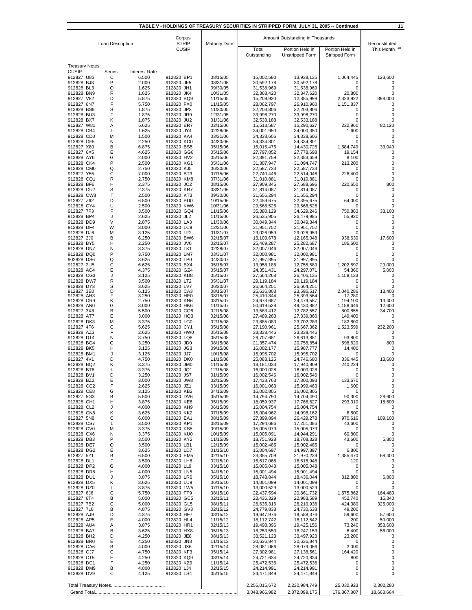| TABLE V - HOLDINGS OF TREASURY SECURITIES IN STRIPPED FORM, JULY 31, 2005 -- Continued<br>11 |         |                                                      |                          |                      |                          |                                 |                     |                   |
|----------------------------------------------------------------------------------------------|---------|------------------------------------------------------|--------------------------|----------------------|--------------------------|---------------------------------|---------------------|-------------------|
|                                                                                              |         |                                                      | Corpus                   |                      |                          | Amount Outstanding in Thousands |                     |                   |
| Loan Description                                                                             |         | <b>STRIP</b><br><b>Maturity Date</b><br><b>CUSIP</b> | Portion Held in<br>Total |                      | Portion Held in          | Reconstituted<br>This Month     |                     |                   |
|                                                                                              |         |                                                      |                          |                      | Outstanding              | Unstripped Form                 | Stripped Form       |                   |
| <b>Treasury Notes:</b>                                                                       |         |                                                      |                          |                      |                          |                                 |                     |                   |
| CUSIP:                                                                                       | Series: | Interest Rate:                                       |                          |                      |                          |                                 |                     |                   |
| 912827 U83<br>912828 BJ8                                                                     | С<br>P  | 6.500<br>2.000                                       | 912820 BP1<br>912820 JF5 | 08/15/05<br>08/31/05 | 15,002,580<br>30,592,178 | 13,938,135<br>30,592,178        | 1,064,445<br>0      | 123,600<br>0      |
| 912828 BL3                                                                                   | Q       | 1.625                                                | 912820 JH1               | 09/30/05             | 31,538,969               | 31,538,969                      | 0                   | 0                 |
| 912828 BN9<br>912827 V82                                                                     | R<br>D  | 1.625<br>5.875                                       | 912820 JK4<br>912820 BQ9 | 10/31/05<br>11/15/05 | 32,368,420<br>15,209,920 | 32,347,620<br>12,885,998        | 20,800<br>2,323,922 | 0<br>398,000      |
| 912827 6N7                                                                                   | F       | 5.750                                                | 912820 FX0               | 11/15/05             | 28,062,797               | 26,910,960                      | 1,151,837           | 0                 |
| 912828 BS8<br>912828 BU3                                                                     | S<br>T  | 1.875<br>1.875                                       | 912820 JP3<br>912820 JR9 | 11/30/05<br>12/31/05 | 32,203,806<br>33,996,270 | 32,203,806<br>33,996,270        | 0<br>0              | 0<br>0            |
| 912828 BX7                                                                                   | κ       | 1.875                                                | 912820 JU2               | 01/31/06             | 32,533,188               | 32,533,188                      | 0                   | 0                 |
| 912827 W81<br>912828 CB4                                                                     | Α<br>L  | 5.625<br>1.625                                       | 912820 BR7<br>912820 JY4 | 02/15/06<br>02/28/06 | 15,513,587<br>34,001,950 | 15,290,627<br>34,000,350        | 222,960<br>1,600    | 82,120<br>0       |
| 912828 CD0                                                                                   | М       | 1.500                                                | 912820 KA4               | 03/31/06             | 34,338,606               | 34,338,606                      | 0                   | 0                 |
| 912828 CF5<br>912827 X80                                                                     | N<br>В  | 2.250<br>6.875                                       | 912820 KC0<br>912820 BS5 | 04/30/06<br>05/15/06 | 34,334,801<br>16,015,475 | 34,334,801<br>14,430,726        | 0<br>1,584,749      | 0<br>33,040       |
| 912827 6X5                                                                                   | Ε       | 4.625                                                | 912820 GG6               | 05/15/06             | 27,797,852               | 27,778,698                      | 19,154              | 0                 |
| 912828 AY6<br>912828 CK4                                                                     | G<br>P  | 2.000<br>2.500                                       | 912820 HV2<br>912820 KG1 | 05/15/06<br>05/31/06 | 22,391,759<br>31,307,947 | 22,383,659<br>31,094,747        | 8,100<br>213,200    | 0<br>0            |
| 912828 CM0                                                                                   | Q       | 2.750                                                | 912820 KJ5               | 06/30/06             | 32,587,733               | 32,587,733                      | 0                   | $\mathbf 0$       |
| 912827 Y55<br>912828 CQ1                                                                     | С<br>R  | 7.000<br>2.750                                       | 912820 BT3<br>912820 KM8 | 07/15/06<br>07/31/06 | 22,740,446<br>31,010,881 | 22,514,046<br>31,010,881        | 226,400<br>0        | 0<br>0            |
| 912828 BF6                                                                                   | н       | 2.375                                                | 912820 JC2               | 08/15/06             | 27,909,346               | 27,688,696                      | 220,650             | 800               |
| 912828 CU2                                                                                   | S<br>T  | 2.375                                                | 912820 KR7               | 08/31/06<br>09/30/06 | 31,814,087               | 31,814,087                      | 0                   | 0                 |
| 912828 CW8<br>912827 Z62                                                                     | D       | 2.500<br>6.500                                       | 912820 KT3<br>912820 BU0 | 10/15/06             | 31,656,294<br>22,459,675 | 31,656,294<br>22,395,675        | 0<br>64,000         | 0<br>0            |
| 912828 CY4                                                                                   | U       | 2.500                                                | 912820 KW6               | 10/31/06             | 29,568,526               | 29,568,526                      | 0                   | 0                 |
| 912827 7F3<br>912828 BP4                                                                     | F<br>J  | 3.500<br>2.625                                       | 912820 GQ4<br>912820 JL2 | 11/15/06<br>11/15/06 | 35,380,129<br>26,535,905 | 34,629,246<br>26,479,985        | 750,883<br>55,920   | 33,100<br>0       |
| 912828 DD9                                                                                   | $\vee$  | 2.875                                                | 912820 LA3               | 11/30/06             | 30,049,344               | 30,049,344                      | 0                   | 0                 |
| 912828 DF4<br>912828 DJ6                                                                     | W<br>M  | 3.000<br>3.125                                       | 912820 LC9<br>912820 LF2 | 12/31/06<br>01/31/07 | 31,951,752<br>29,026,959 | 31,951,752<br>29,026,959        | 0<br>0              | 0<br>0            |
| 912827 2J0                                                                                   | B       | 6.250                                                | 912820 BW6               | 02/15/07             | 13,103,678               | 12,165,048                      | 938,630             | 17,600            |
| 912828 BY5                                                                                   | н       | 2.250                                                | 912820 JV0               | 02/15/07             | 25,469,287               | 25,282,687                      | 186,600             | 0                 |
| 912828 DN7<br>912828 DQ0                                                                     | N<br>P  | 3.375<br>3.750                                       | 912820 LK1<br>912820 LM7 | 02/28/07<br>03/31/07 | 32,007,046<br>32,000,981 | 32,007,046<br>32,000,981        | 0<br>0              | 0<br>$\mathbf 0$  |
| 902828 DS6                                                                                   | Q       | 3.625                                                | 912820 LP0               | 04/30/07             | 31,997,895               | 31,997,895                      | 0                   | 0                 |
| 912827 2U5<br>912828 AC4                                                                     | C<br>Ε  | 6.625<br>4.375                                       | 912820 BX4<br>912820 GZ4 | 05/15/07<br>05/15/07 | 13,958,186<br>24,351,431 | 12,755,589<br>24,297,071        | 1,202,597<br>54,360 | 29,000<br>5,000   |
| 912828 CG3                                                                                   | J       | 3.125                                                | 912820 KD8               | 05/15/07             | 27,564,268               | 26,406,135                      | 1,158,133           | 0                 |
| 912828 DW7<br>912828 DY3                                                                     | R<br>S  | 3.500<br>3.625                                       | 912820 LT2<br>912820 LV7 | 05/31/07<br>06/30/07 | 29,119,184<br>26,664,251 | 29,119,184<br>26,664,251        | 0<br>0              | 0<br>0            |
| 912827 3E0                                                                                   | D       | 6.125                                                | 912820 CA3               | 08/15/07             | 25,636,803               | 23,596,517                      | 2,040,286           | 13,400            |
| 912828 AH3<br>912828 CR9                                                                     | F<br>Κ  | 3.250<br>2.750                                       | 912820 HEO<br>912820 KN6 | 08/15/07<br>08/15/07 | 25,410,844<br>24,673,687 | 25,393,564<br>24,479,587        | 17,280<br>194,100   | 0<br>13,400       |
| 912828 ANO                                                                                   | G       | 3.000                                                | 912820 HK6               | 11/15/07             | 50,619,528               | 49,430,882                      | 1,188,646           | 12,600            |
| 912827 3X8<br>912828 AT7                                                                     | В<br>Ε  | 5.500<br>3.000                                       | 912820 CQ8<br>912820 HQ3 | 02/15/08<br>02/15/08 | 13,583,412<br>27,489,260 | 12,782,557<br>27,339,860        | 800,855<br>149,400  | 34,700<br>0       |
| 912828 DK3                                                                                   | M       | 3.375                                                | 912820 LG0               | 02/15/08             | 23,885,083               | 23,702,283                      | 182,800             | 0                 |
| 912827 4F6<br>912828 AZ3                                                                     | C<br>F  | 5.625<br>2.625                                       | 912820 CY1<br>912820 HW0 | 05/15/08<br>05/15/08 | 27,190,961<br>33,338,446 | 25,667,362<br>33,338,446        | 1,523,599<br>0      | 232,200<br>0      |
| 912828 DT4                                                                                   | N       | 3.750                                                | 912820 LQ8               | 05/15/08             | 26,707,681               | 26,613,881                      | 93,800              | 0                 |
| 912828 BG4<br>912828 BK5                                                                     | G<br>н  | 3.250<br>3.125                                       | 912820 JD0<br>912820 JG3 | 08/15/08             | 21,357,474<br>16,002,177 | 20,758,854<br>15,987,777        | 598,620<br>14,400   | 800<br>0          |
| 912828 BM1                                                                                   | J       | 3.125                                                | 912820 JJ7               | 09/15/08<br>10/15/08 | 15,995,702               | 15,995,702                      | 0                   | 0                 |
| 912827 4V1                                                                                   | D       | 4.750                                                | 912820 DK0               | 11/15/08             | 25,083,125               | 24,746,680                      | 336.445             | 13,600            |
| 912828 BQ2<br>912828 BT6                                                                     | Κ<br>L  | 3.375<br>3.375                                       | 912820 JM0<br>912820 JQ1 | 11/15/08<br>12/15/08 | 18,181,033<br>16,000,028 | 17,940,809<br>16,000,028        | 240,224<br>0        | 0<br>0            |
| 912828 BV1                                                                                   | D       | 3.250                                                | 912820 JS7               | 01/15/09             | 16,002,546               | 16,002,546                      | 0                   | 0                 |
| 912828 BZ2<br>912828 CC2                                                                     | Ε<br>F  | 3.000<br>2.625                                       | 912820 JW8<br>912820 JZ1 | 02/15/09<br>03/15/09 | 17,433,763<br>16,001,063 | 17,300,093<br>15,999,463        | 133,670<br>1,600    | 0<br>0            |
| 912828 CE8                                                                                   | G       | 3.125                                                | 912820 KB2               | 04/15/09             | 16,002,805               | 16,002,805                      | 0                   | 0                 |
| 912827 5G3<br>912828 CH1                                                                     | В<br>н  | 5.500<br>3.875                                       | 912820 DV6<br>912820 KE6 | 05/15/09<br>05/15/09 | 14,794,790<br>18,059,937 | 14,704,490<br>17,766,627        | 90,300<br>293,310   | 28,600<br>18,600  |
| 912828 CL2                                                                                   | J       | 4.000                                                | 912820 KH9               | 06/15/09             | 15,004,754               | 15,004,754                      | 0                   | 0                 |
| 912828 CN8<br>912827 5N8                                                                     | Κ<br>С  | 3.625<br>6.000                                       | 912820 KK2<br>912820 EA1 | 07/15/09<br>08/15/09 | 15,004,962<br>27,399,894 | 14,998,162<br>26,429,278        | 6,800<br>970,616    | 0<br>109,100      |
| 912828 CS7                                                                                   | L       | 3.500                                                | 912820 KP1               | 08/15/09             | 17,294,686               | 17,251,086                      | 43,600              | 0                 |
| 912828 CV0                                                                                   | M       | 3.375                                                | 912820 KS5               | 09/15/09             | 15,005,079               | 15,005,079                      | 0                   | 0<br>0            |
| 912828 CX6<br>912828 DB3                                                                     | N<br>P  | 3.375<br>3.500                                       | 912820 KU0<br>912820 KY2 | 10/15/09<br>11/15/09 | 15,005,091<br>18,751,928 | 14,944,291<br>18,708,328        | 60,800<br>43,600    | 5,800             |
| 912828 DE7                                                                                   | Q<br>Е  | 3.500                                                | 912820 LB1               | 12/15/09             | 15,002,485               | 15,002,485                      | 0                   | 0                 |
| 912828 DG2<br>912827 5Z1                                                                     | В       | 3.625<br>6.500                                       | 912820 LD7<br>912820 EM5 | 01/15/10<br>02/15/10 | 15,004,697<br>23,355,709 | 14,997,897<br>21,970,239        | 6,800<br>1,385,470  | 0<br>68,400       |
| 912828 DL1                                                                                   | F       | 3.500                                                | 912820 LH8               | 02/15/10             | 16,617,068               | 16,616,948                      | 120                 | 0                 |
| 912828 DP2<br>912828 DR8                                                                     | G<br>н  | 4.000<br>4.000                                       | 912820 LL9<br>912820 LN5 | 03/15/10<br>04/15/10 | 15,005,048<br>15,001,494 | 15,005,048<br>15,001,494        | 0<br>0              | 0<br>0            |
| 912828 DU1                                                                                   | J       | 3.875                                                | 912820 LR6               | 05/15/10             | 18,748,844               | 18,436,044                      | 312,800             | 6,800             |
| 912828 DX5<br>912828 DZ0                                                                     | Κ<br>Г  | 3.625<br>3.875                                       | 912820 LU9<br>912820 LW5 | 06/15/10<br>07/15/10 | 14,001,099<br>13,000,529 | 14,001,099<br>13,000,529        | 0<br>0              | 0<br>0            |
| 912827 6J6                                                                                   | С       | 5.750                                                | 912820 FT9               | 08/15/10             | 22,437,594               | 20,861,732                      | 1,575,862           | 164,480           |
| 912827 6T4<br>912827 7B2                                                                     | B<br>C  | 5.000<br>5.000                                       | 912820 GC5<br>912820 GL5 | 02/15/11<br>08/15/11 | 23,436,329<br>26,635,316 | 22,983,589<br>26,210,936        | 452,740<br>424,380  | 15,340<br>325,000 |
| 912827 7L0                                                                                   | в       | 4.875                                                | 912820 GV3               | 02/15/12             | 24,779,838               | 24,730,638                      | 49,200              | 0                 |
| 912828 AJ9                                                                                   | D       | 4.375                                                | 912820 HF7               | 08/15/12             | 19,647,976               | 19,588,376                      | 59,600              | 57,600            |
| 912828 AP5<br>912828 AU4                                                                     | Е<br>Α  | 4.000<br>3.875                                       | 912820 HL4<br>912820 HR1 | 11/15/12<br>02/15/13 | 18,112,742<br>19,498,396 | 18,112,542<br>19,425,156        | 200<br>73,240       | 50,000<br>353,600 |
| 912828 BA7                                                                                   | В       | 3.625                                                | 912820 HX8               | 05/15/13             | 18,253,553               | 18,247,153                      | 6,400               | 56,000            |
| 912828 BH2<br>912828 BR0                                                                     | D<br>Ε  | 4.250<br>4.250                                       | 912820 JE8<br>912820 JN8 | 08/15/13<br>11/15/13 | 33,521,123<br>30,636,844 | 33,497,923<br>30,636,844        | 23,200<br>0         | 0<br>0            |
| 912828 CA6                                                                                   | В       | 4.000                                                | 912820 JX6               | 02/15/14             | 28,081,066               | 28,079,066                      | 2,000               | 0                 |
| 912828 CJ7<br>912828 CT5                                                                     | С<br>Е  | 4.750<br>4.250                                       | 912820 KF3<br>912820 KQ9 | 05/15/14<br>08/15/14 | 27,302,981<br>24,721,634 | 27,138,561<br>24,720,834        | 164,420<br>800      | 0<br>0            |
| 912828 DC1                                                                                   | F       | 4.250                                                | 912820 KZ9               | 11/15/14             | 25,472,536               | 25,472,536                      | 0                   | 0                 |
| 912828 DM9<br>912828 DV9                                                                     | в<br>C  | 4.000<br>4.125                                       | 912820 LJ4<br>912820 LS4 | 02/15/15<br>05/15/15 | 24,214,991<br>24,471,849 | 24,214,991<br>24,471,849        | 0<br>0              | 0<br>0            |
|                                                                                              |         |                                                      |                          |                      |                          |                                 |                     |                   |
|                                                                                              |         |                                                      |                          |                      | 2,256,015,672            | 2,230,984,749                   | 25,030,923          | 2,302,280         |
|                                                                                              |         |                                                      |                          |                      | 3,048,966,982            | 2,872,099,175                   | 176,867,807         | 18,663,664        |